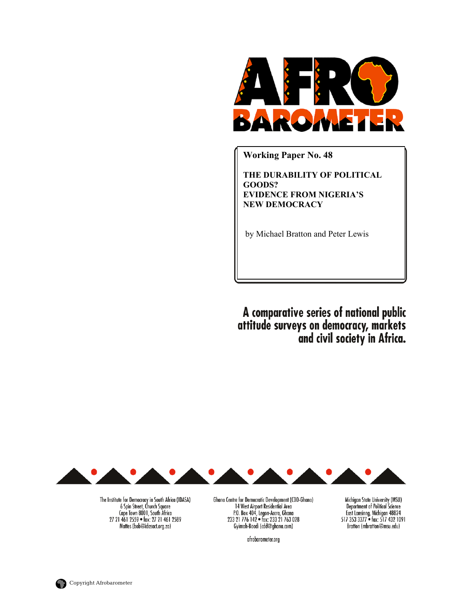

**Working Paper No. 48** 

**THE DURABILITY OF POLITICAL GOODS? EVIDENCE FROM NIGERIA'S NEW DEMOCRACY** 

by Michael Bratton and Peter Lewis

A comparative series of national public<br>attitude surveys on democracy, markets<br>and civil society in Africa.

Michigan State University (MSU)

Department of Political Science<br>East Lansing, Michigan 48824<br>517 353 3377 • fax: 517 432 1091

Bratton (mbratton@msu.edu)



The Institute for Democracy in South Africa (IDASA)<br>6 Spin Street, Church Square<br>Cape Town 8001, South Africa 27 21 461 2559 · fax: 27 21 461 2589 Mattes (bob@idasact.org.za)

Ghana Centre for Democratic Development (CDD-Ghana) 14 West Airport Residential Area<br>
P.O. Box 404, Legon-Accra, Ghana<br>
233 21 776 142 • fax: 233 21 763 028 Gyimah-Boadi (cdd@ghana.com)

afrobarometer.org

**Copyright Afrobarometer**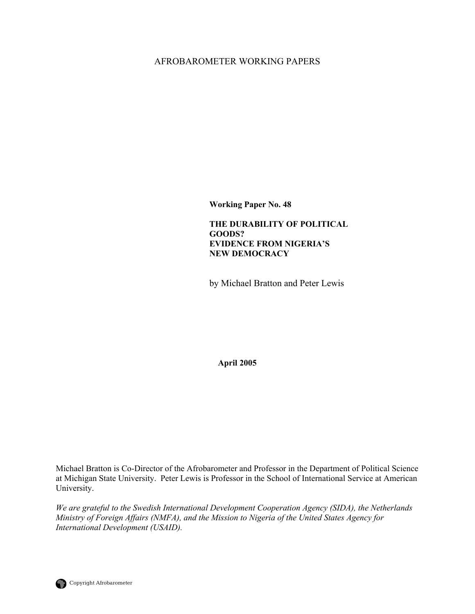# AFROBAROMETER WORKING PAPERS

**Working Paper No. 48** 

**THE DURABILITY OF POLITICAL GOODS? EVIDENCE FROM NIGERIA'S NEW DEMOCRACY** 

by Michael Bratton and Peter Lewis

**April 2005** 

Michael Bratton is Co-Director of the Afrobarometer and Professor in the Department of Political Science at Michigan State University. Peter Lewis is Professor in the School of International Service at American University.

*We are grateful to the Swedish International Development Cooperation Agency (SIDA), the Netherlands Ministry of Foreign Affairs (NMFA), and the Mission to Nigeria of the United States Agency for International Development (USAID).*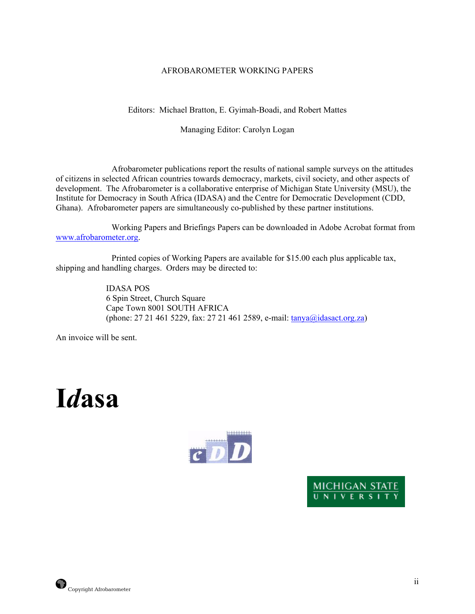# AFROBAROMETER WORKING PAPERS

Editors: Michael Bratton, E. Gyimah-Boadi, and Robert Mattes

# Managing Editor: Carolyn Logan

 Afrobarometer publications report the results of national sample surveys on the attitudes of citizens in selected African countries towards democracy, markets, civil society, and other aspects of development. The Afrobarometer is a collaborative enterprise of Michigan State University (MSU), the Institute for Democracy in South Africa (IDASA) and the Centre for Democratic Development (CDD, Ghana). Afrobarometer papers are simultaneously co-published by these partner institutions.

 Working Papers and Briefings Papers can be downloaded in Adobe Acrobat format from [www.afrobarometer.org](http://www.afrobarometer.org/).

 Printed copies of Working Papers are available for \$15.00 each plus applicable tax, shipping and handling charges. Orders may be directed to:

> IDASA POS 6 Spin Street, Church Square Cape Town 8001 SOUTH AFRICA (phone: 27 21 461 5229, fax: 27 21 461 2589, e-mail: [tanya@idasact.org.za\)](mailto: tanya@idasact.org.za)

An invoice will be sent.

# **I***d***asa**



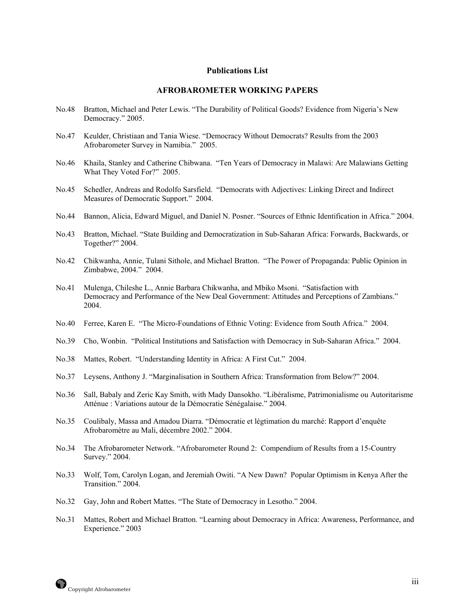#### **Publications List**

## **AFROBAROMETER WORKING PAPERS**

- No.48 Bratton, Michael and Peter Lewis. "The Durability of Political Goods? Evidence from Nigeria's New Democracy." 2005.
- No.47 Keulder, Christiaan and Tania Wiese. "Democracy Without Democrats? Results from the 2003 Afrobarometer Survey in Namibia." 2005.
- No.46 Khaila, Stanley and Catherine Chibwana. "Ten Years of Democracy in Malawi: Are Malawians Getting What They Voted For?" 2005.
- No.45 Schedler, Andreas and Rodolfo Sarsfield. "Democrats with Adjectives: Linking Direct and Indirect Measures of Democratic Support." 2004.
- No.44 Bannon, Alicia, Edward Miguel, and Daniel N. Posner. "Sources of Ethnic Identification in Africa." 2004.
- No.43 Bratton, Michael. "State Building and Democratization in Sub-Saharan Africa: Forwards, Backwards, or Together?" 2004.
- No.42 Chikwanha, Annie, Tulani Sithole, and Michael Bratton. "The Power of Propaganda: Public Opinion in Zimbabwe, 2004." 2004.
- No.41 Mulenga, Chileshe L., Annie Barbara Chikwanha, and Mbiko Msoni. "Satisfaction with Democracy and Performance of the New Deal Government: Attitudes and Perceptions of Zambians." 2004.
- No.40 Ferree, Karen E. "The Micro-Foundations of Ethnic Voting: Evidence from South Africa." 2004.
- No.39 Cho, Wonbin. "Political Institutions and Satisfaction with Democracy in Sub-Saharan Africa." 2004.
- No.38 Mattes, Robert. "Understanding Identity in Africa: A First Cut." 2004.
- No.37 Leysens, Anthony J. "Marginalisation in Southern Africa: Transformation from Below?" 2004.
- No.36 Sall, Babaly and Zeric Kay Smith, with Mady Dansokho. "Libéralisme, Patrimonialisme ou Autoritarisme Atténue : Variations autour de la Démocratie Sénégalaise." 2004.
- No.35 Coulibaly, Massa and Amadou Diarra. "Démocratie et légtimation du marché: Rapport d'enquête Afrobaromètre au Mali, décembre 2002." 2004.
- No.34 The Afrobarometer Network. "Afrobarometer Round 2: Compendium of Results from a 15-Country Survey." 2004.
- No.33 Wolf, Tom, Carolyn Logan, and Jeremiah Owiti. "A New Dawn? Popular Optimism in Kenya After the Transition." 2004.
- No.32 Gay, John and Robert Mattes. "The State of Democracy in Lesotho." 2004.
- No.31 Mattes, Robert and Michael Bratton. "Learning about Democracy in Africa: Awareness, Performance, and Experience." 2003

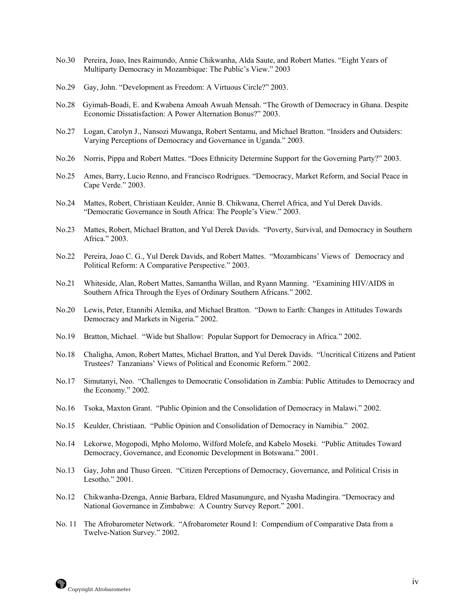- No.30 Pereira, Joao, Ines Raimundo, Annie Chikwanha, Alda Saute, and Robert Mattes. "Eight Years of Multiparty Democracy in Mozambique: The Public's View." 2003
- No.29 Gay, John. "Development as Freedom: A Virtuous Circle?" 2003.
- No.28 Gyimah-Boadi, E. and Kwabena Amoah Awuah Mensah. "The Growth of Democracy in Ghana. Despite Economic Dissatisfaction: A Power Alternation Bonus?" 2003.
- No.27 Logan, Carolyn J., Nansozi Muwanga, Robert Sentamu, and Michael Bratton. "Insiders and Outsiders: Varying Perceptions of Democracy and Governance in Uganda." 2003.
- No.26 Norris, Pippa and Robert Mattes. "Does Ethnicity Determine Support for the Governing Party?" 2003.
- No.25 Ames, Barry, Lucio Renno, and Francisco Rodrigues. "Democracy, Market Reform, and Social Peace in Cape Verde." 2003.
- No.24 Mattes, Robert, Christiaan Keulder, Annie B. Chikwana, Cherrel Africa, and Yul Derek Davids. "Democratic Governance in South Africa: The People's View." 2003.
- No.23 Mattes, Robert, Michael Bratton, and Yul Derek Davids. "Poverty, Survival, and Democracy in Southern Africa." 2003.
- No.22 Pereira, Joao C. G., Yul Derek Davids, and Robert Mattes. "Mozambicans' Views of Democracy and Political Reform: A Comparative Perspective." 2003.
- No.21 Whiteside, Alan, Robert Mattes, Samantha Willan, and Ryann Manning. "Examining HIV/AIDS in Southern Africa Through the Eyes of Ordinary Southern Africans." 2002.
- No.20 Lewis, Peter, Etannibi Alemika, and Michael Bratton. "Down to Earth: Changes in Attitudes Towards Democracy and Markets in Nigeria." 2002.
- No.19 Bratton, Michael. "Wide but Shallow: Popular Support for Democracy in Africa." 2002.
- No.18 Chaligha, Amon, Robert Mattes, Michael Bratton, and Yul Derek Davids. "Uncritical Citizens and Patient Trustees? Tanzanians' Views of Political and Economic Reform." 2002.
- No.17 Simutanyi, Neo. "Challenges to Democratic Consolidation in Zambia: Public Attitudes to Democracy and the Economy." 2002.
- No.16 Tsoka, Maxton Grant. "Public Opinion and the Consolidation of Democracy in Malawi." 2002.
- No.15 Keulder, Christiaan. "Public Opinion and Consolidation of Democracy in Namibia." 2002.
- No.14 Lekorwe, Mogopodi, Mpho Molomo, Wilford Molefe, and Kabelo Moseki. "Public Attitudes Toward Democracy, Governance, and Economic Development in Botswana." 2001.
- No.13 Gay, John and Thuso Green. "Citizen Perceptions of Democracy, Governance, and Political Crisis in Lesotho." 2001.
- No.12 Chikwanha-Dzenga, Annie Barbara, Eldred Masunungure, and Nyasha Madingira. "Democracy and National Governance in Zimbabwe: A Country Survey Report." 2001.
- No. 11 The Afrobarometer Network. "Afrobarometer Round I: Compendium of Comparative Data from a Twelve-Nation Survey." 2002.

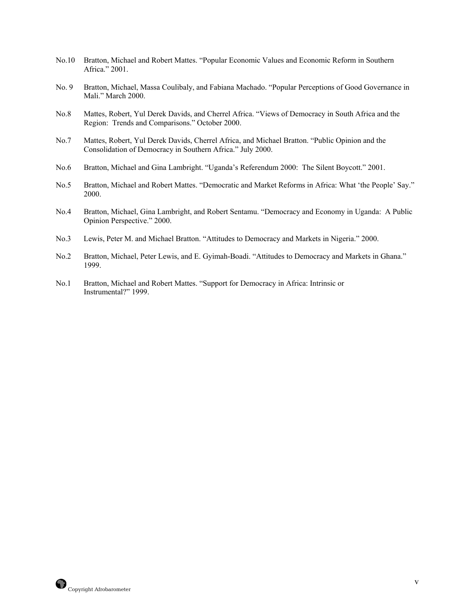- No.10 Bratton, Michael and Robert Mattes. "Popular Economic Values and Economic Reform in Southern Africa." 2001.
- No. 9 Bratton, Michael, Massa Coulibaly, and Fabiana Machado. "Popular Perceptions of Good Governance in Mali." March 2000.
- No.8 Mattes, Robert, Yul Derek Davids, and Cherrel Africa. "Views of Democracy in South Africa and the Region: Trends and Comparisons." October 2000.
- No.7 Mattes, Robert, Yul Derek Davids, Cherrel Africa, and Michael Bratton. "Public Opinion and the Consolidation of Democracy in Southern Africa." July 2000.
- No.6 Bratton, Michael and Gina Lambright. "Uganda's Referendum 2000: The Silent Boycott." 2001.
- No.5 Bratton, Michael and Robert Mattes. "Democratic and Market Reforms in Africa: What 'the People' Say." 2000.
- No.4 Bratton, Michael, Gina Lambright, and Robert Sentamu. "Democracy and Economy in Uganda: A Public Opinion Perspective." 2000.
- No.3 Lewis, Peter M. and Michael Bratton. "Attitudes to Democracy and Markets in Nigeria." 2000.
- No.2 Bratton, Michael, Peter Lewis, and E. Gyimah-Boadi. "Attitudes to Democracy and Markets in Ghana." 1999.
- No.1 Bratton, Michael and Robert Mattes. "Support for Democracy in Africa: Intrinsic or Instrumental?" 1999.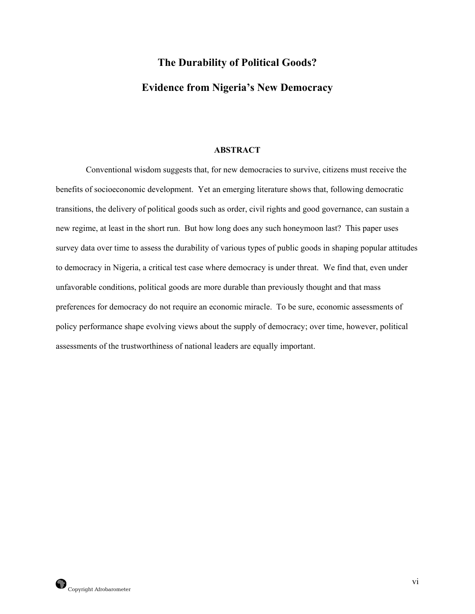# **The Durability of Political Goods? Evidence from Nigeria's New Democracy**

## **ABSTRACT**

 Conventional wisdom suggests that, for new democracies to survive, citizens must receive the benefits of socioeconomic development. Yet an emerging literature shows that, following democratic transitions, the delivery of political goods such as order, civil rights and good governance, can sustain a new regime, at least in the short run. But how long does any such honeymoon last? This paper uses survey data over time to assess the durability of various types of public goods in shaping popular attitudes to democracy in Nigeria, a critical test case where democracy is under threat. We find that, even under unfavorable conditions, political goods are more durable than previously thought and that mass preferences for democracy do not require an economic miracle. To be sure, economic assessments of policy performance shape evolving views about the supply of democracy; over time, however, political assessments of the trustworthiness of national leaders are equally important.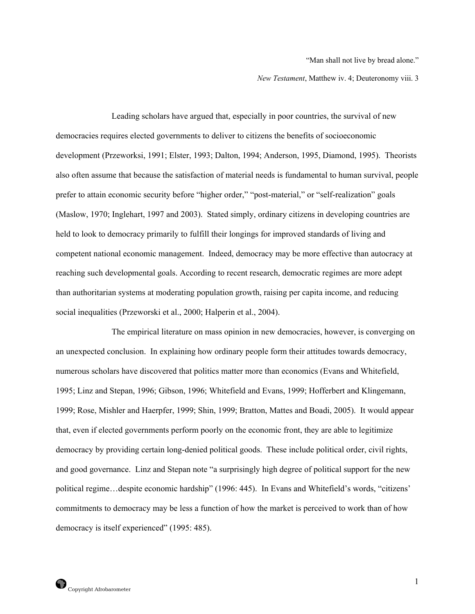"Man shall not live by bread alone."

*New Testament*, Matthew iv. 4; Deuteronomy viii. 3

 Leading scholars have argued that, especially in poor countries, the survival of new democracies requires elected governments to deliver to citizens the benefits of socioeconomic development (Przeworksi, 1991; Elster, 1993; Dalton, 1994; Anderson, 1995, Diamond, 1995). Theorists also often assume that because the satisfaction of material needs is fundamental to human survival, people prefer to attain economic security before "higher order," "post-material," or "self-realization" goals (Maslow, 1970; Inglehart, 1997 and 2003). Stated simply, ordinary citizens in developing countries are held to look to democracy primarily to fulfill their longings for improved standards of living and competent national economic management. Indeed, democracy may be more effective than autocracy at reaching such developmental goals. According to recent research, democratic regimes are more adept than authoritarian systems at moderating population growth, raising per capita income, and reducing social inequalities (Przeworski et al., 2000; Halperin et al., 2004).

 The empirical literature on mass opinion in new democracies, however, is converging on an unexpected conclusion. In explaining how ordinary people form their attitudes towards democracy, numerous scholars have discovered that politics matter more than economics (Evans and Whitefield, 1995; Linz and Stepan, 1996; Gibson, 1996; Whitefield and Evans, 1999; Hofferbert and Klingemann, 1999; Rose, Mishler and Haerpfer, 1999; Shin, 1999; Bratton, Mattes and Boadi, 2005). It would appear that, even if elected governments perform poorly on the economic front, they are able to legitimize democracy by providing certain long-denied political goods. These include political order, civil rights, and good governance. Linz and Stepan note "a surprisingly high degree of political support for the new political regime…despite economic hardship" (1996: 445). In Evans and Whitefield's words, "citizens' commitments to democracy may be less a function of how the market is perceived to work than of how democracy is itself experienced" (1995: 485).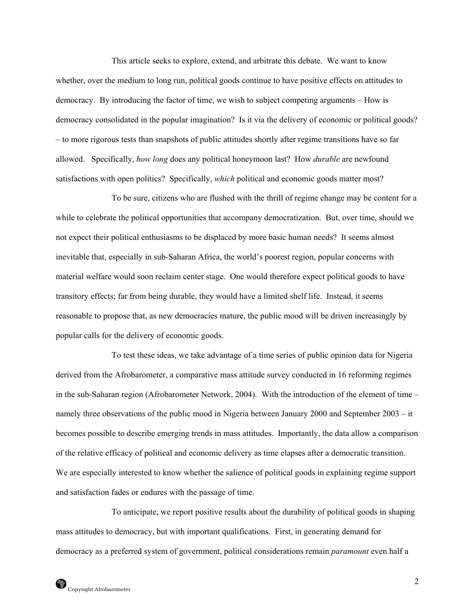This article seeks to explore, extend, and arbitrate this debate. We want to know whether, over the medium to long run, political goods continue to have positive effects on attitudes to democracy. By introducing the factor of time, we wish to subject competing arguments – How is democracy consolidated in the popular imagination? Is it via the delivery of economic or political goods? – to more rigorous tests than snapshots of public attitudes shortly after regime transitions have so far allowed. Specifically, *how long* does any political honeymoon last? How *durable* are newfound satisfactions with open politics? Specifically, *which* political and economic goods matter most?

 To be sure, citizens who are flushed with the thrill of regime change may be content for a while to celebrate the political opportunities that accompany democratization. But, over time, should we not expect their political enthusiasms to be displaced by more basic human needs? It seems almost inevitable that, especially in sub-Saharan Africa, the world's poorest region, popular concerns with material welfare would soon reclaim center stage. One would therefore expect political goods to have transitory effects; far from being durable, they would have a limited shelf life. Instead, it seems reasonable to propose that, as new democracies mature, the public mood will be driven increasingly by popular calls for the delivery of economic goods.

 To test these ideas, we take advantage of a time series of public opinion data for Nigeria derived from the Afrobarometer, a comparative mass attitude survey conducted in 16 reforming regimes in the sub-Saharan region (Afrobarometer Network, 2004). With the introduction of the element of time – namely three observations of the public mood in Nigeria between January 2000 and September 2003 – it becomes possible to describe emerging trends in mass attitudes. Importantly, the data allow a comparison of the relative efficacy of political and economic delivery as time elapses after a democratic transition. We are especially interested to know whether the salience of political goods in explaining regime support and satisfaction fades or endures with the passage of time.

 To anticipate, we report positive results about the durability of political goods in shaping mass attitudes to democracy, but with important qualifications. First, in generating demand for democracy as a preferred system of government, political considerations remain *paramount* even half a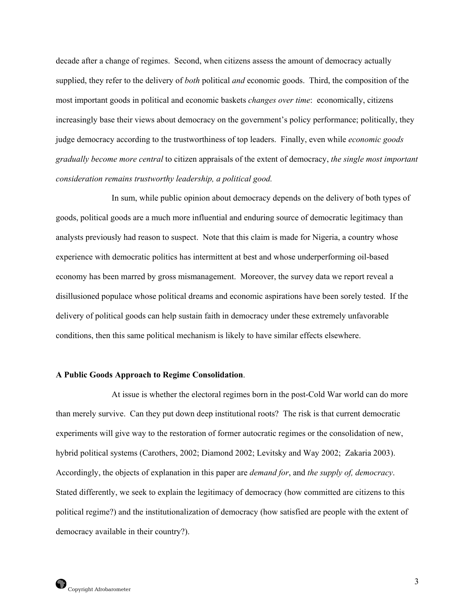decade after a change of regimes. Second, when citizens assess the amount of democracy actually supplied, they refer to the delivery of *both* political *and* economic goods. Third, the composition of the most important goods in political and economic baskets *changes over time*: economically, citizens increasingly base their views about democracy on the government's policy performance; politically, they judge democracy according to the trustworthiness of top leaders. Finally, even while *economic goods gradually become more central* to citizen appraisals of the extent of democracy, *the single most important consideration remains trustworthy leadership, a political good.*

 In sum, while public opinion about democracy depends on the delivery of both types of goods, political goods are a much more influential and enduring source of democratic legitimacy than analysts previously had reason to suspect. Note that this claim is made for Nigeria, a country whose experience with democratic politics has intermittent at best and whose underperforming oil-based economy has been marred by gross mismanagement. Moreover, the survey data we report reveal a disillusioned populace whose political dreams and economic aspirations have been sorely tested. If the delivery of political goods can help sustain faith in democracy under these extremely unfavorable conditions, then this same political mechanism is likely to have similar effects elsewhere.

#### **A Public Goods Approach to Regime Consolidation**.

 At issue is whether the electoral regimes born in the post-Cold War world can do more than merely survive. Can they put down deep institutional roots? The risk is that current democratic experiments will give way to the restoration of former autocratic regimes or the consolidation of new, hybrid political systems (Carothers, 2002; Diamond 2002; Levitsky and Way 2002; Zakaria 2003). Accordingly, the objects of explanation in this paper are *demand for*, and *the supply of, democracy*. Stated differently, we seek to explain the legitimacy of democracy (how committed are citizens to this political regime?) and the institutionalization of democracy (how satisfied are people with the extent of democracy available in their country?).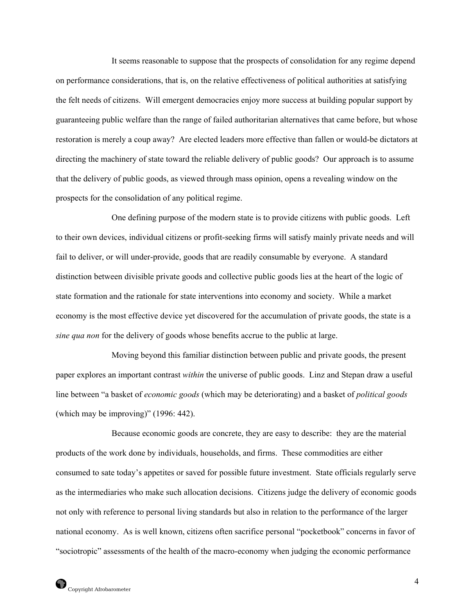It seems reasonable to suppose that the prospects of consolidation for any regime depend on performance considerations, that is, on the relative effectiveness of political authorities at satisfying the felt needs of citizens.Will emergent democracies enjoy more success at building popular support by guaranteeing public welfare than the range of failed authoritarian alternatives that came before, but whose restoration is merely a coup away? Are elected leaders more effective than fallen or would-be dictators at directing the machinery of state toward the reliable delivery of public goods? Our approach is to assume that the delivery of public goods, as viewed through mass opinion, opens a revealing window on the prospects for the consolidation of any political regime.

 One defining purpose of the modern state is to provide citizens with public goods. Left to their own devices, individual citizens or profit-seeking firms will satisfy mainly private needs and will fail to deliver, or will under-provide, goods that are readily consumable by everyone. A standard distinction between divisible private goods and collective public goods lies at the heart of the logic of state formation and the rationale for state interventions into economy and society. While a market economy is the most effective device yet discovered for the accumulation of private goods, the state is a *sine qua non* for the delivery of goods whose benefits accrue to the public at large.

 Moving beyond this familiar distinction between public and private goods, the present paper explores an important contrast *within* the universe of public goods. Linz and Stepan draw a useful line between "a basket of *economic goods* (which may be deteriorating) and a basket of *political goods* (which may be improving)" (1996: 442).

 Because economic goods are concrete, they are easy to describe: they are the material products of the work done by individuals, households, and firms. These commodities are either consumed to sate today's appetites or saved for possible future investment. State officials regularly serve as the intermediaries who make such allocation decisions. Citizens judge the delivery of economic goods not only with reference to personal living standards but also in relation to the performance of the larger national economy. As is well known, citizens often sacrifice personal "pocketbook" concerns in favor of "sociotropic" assessments of the health of the macro-economy when judging the economic performance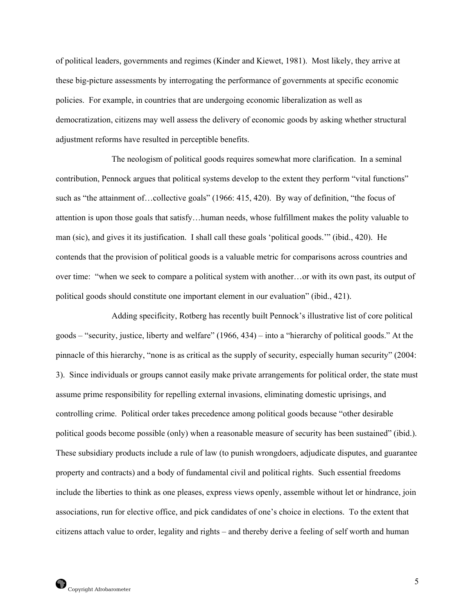of political leaders, governments and regimes (Kinder and Kiewet, 1981). Most likely, they arrive at these big-picture assessments by interrogating the performance of governments at specific economic policies. For example, in countries that are undergoing economic liberalization as well as democratization, citizens may well assess the delivery of economic goods by asking whether structural adjustment reforms have resulted in perceptible benefits.

The neologism of political goods requires somewhat more clarification. In a seminal contribution, Pennock argues that political systems develop to the extent they perform "vital functions" such as "the attainment of…collective goals" (1966: 415, 420). By way of definition, "the focus of attention is upon those goals that satisfy…human needs, whose fulfillment makes the polity valuable to man (sic), and gives it its justification. I shall call these goals 'political goods.'" (ibid., 420). He contends that the provision of political goods is a valuable metric for comparisons across countries and over time: "when we seek to compare a political system with another…or with its own past, its output of political goods should constitute one important element in our evaluation" (ibid., 421).

 Adding specificity, Rotberg has recently built Pennock's illustrative list of core political goods – "security, justice, liberty and welfare" (1966, 434) – into a "hierarchy of political goods." At the pinnacle of this hierarchy, "none is as critical as the supply of security, especially human security" (2004: 3). Since individuals or groups cannot easily make private arrangements for political order, the state must assume prime responsibility for repelling external invasions, eliminating domestic uprisings, and controlling crime. Political order takes precedence among political goods because "other desirable political goods become possible (only) when a reasonable measure of security has been sustained" (ibid.). These subsidiary products include a rule of law (to punish wrongdoers, adjudicate disputes, and guarantee property and contracts) and a body of fundamental civil and political rights. Such essential freedoms include the liberties to think as one pleases, express views openly, assemble without let or hindrance, join associations, run for elective office, and pick candidates of one's choice in elections. To the extent that citizens attach value to order, legality and rights – and thereby derive a feeling of self worth and human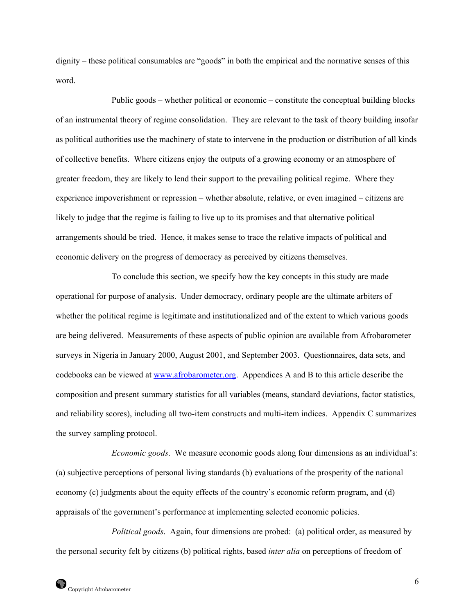dignity – these political consumables are "goods" in both the empirical and the normative senses of this word.

 Public goods – whether political or economic – constitute the conceptual building blocks of an instrumental theory of regime consolidation. They are relevant to the task of theory building insofar as political authorities use the machinery of state to intervene in the production or distribution of all kinds of collective benefits. Where citizens enjoy the outputs of a growing economy or an atmosphere of greater freedom, they are likely to lend their support to the prevailing political regime. Where they experience impoverishment or repression – whether absolute, relative, or even imagined – citizens are likely to judge that the regime is failing to live up to its promises and that alternative political arrangements should be tried. Hence, it makes sense to trace the relative impacts of political and economic delivery on the progress of democracy as perceived by citizens themselves.

 To conclude this section, we specify how the key concepts in this study are made operational for purpose of analysis. Under democracy, ordinary people are the ultimate arbiters of whether the political regime is legitimate and institutionalized and of the extent to which various goods are being delivered. Measurements of these aspects of public opinion are available from Afrobarometer surveys in Nigeria in January 2000, August 2001, and September 2003. Questionnaires, data sets, and codebooks can be viewed at [www.afrobarometer.org](http://www.afrobarometer.org/). Appendices A and B to this article describe the composition and present summary statistics for all variables (means, standard deviations, factor statistics, and reliability scores), including all two-item constructs and multi-item indices. Appendix C summarizes the survey sampling protocol.

 *Economic goods*. We measure economic goods along four dimensions as an individual's: (a) subjective perceptions of personal living standards (b) evaluations of the prosperity of the national economy (c) judgments about the equity effects of the country's economic reform program, and (d) appraisals of the government's performance at implementing selected economic policies.

 *Political goods*. Again, four dimensions are probed: (a) political order, as measured by the personal security felt by citizens (b) political rights, based *inter alia* on perceptions of freedom of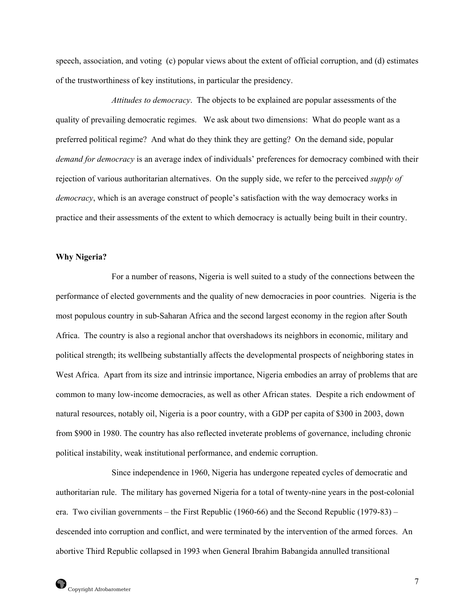speech, association, and voting (c) popular views about the extent of official corruption, and (d) estimates of the trustworthiness of key institutions, in particular the presidency.

 *Attitudes to democracy*. The objects to be explained are popular assessments of the quality of prevailing democratic regimes. We ask about two dimensions: What do people want as a preferred political regime? And what do they think they are getting? On the demand side, popular *demand for democracy* is an average index of individuals' preferences for democracy combined with their rejection of various authoritarian alternatives. On the supply side, we refer to the perceived *supply of democracy*, which is an average construct of people's satisfaction with the way democracy works in practice and their assessments of the extent to which democracy is actually being built in their country.

# **Why Nigeria?**

 For a number of reasons, Nigeria is well suited to a study of the connections between the performance of elected governments and the quality of new democracies in poor countries. Nigeria is the most populous country in sub-Saharan Africa and the second largest economy in the region after South Africa. The country is also a regional anchor that overshadows its neighbors in economic, military and political strength; its wellbeing substantially affects the developmental prospects of neighboring states in West Africa. Apart from its size and intrinsic importance, Nigeria embodies an array of problems that are common to many low-income democracies, as well as other African states. Despite a rich endowment of natural resources, notably oil, Nigeria is a poor country, with a GDP per capita of \$300 in 2003, down from \$900 in 1980. The country has also reflected inveterate problems of governance, including chronic political instability, weak institutional performance, and endemic corruption.

 Since independence in 1960, Nigeria has undergone repeated cycles of democratic and authoritarian rule. The military has governed Nigeria for a total of twenty-nine years in the post-colonial era. Two civilian governments – the First Republic (1960-66) and the Second Republic (1979-83) – descended into corruption and conflict, and were terminated by the intervention of the armed forces. An abortive Third Republic collapsed in 1993 when General Ibrahim Babangida annulled transitional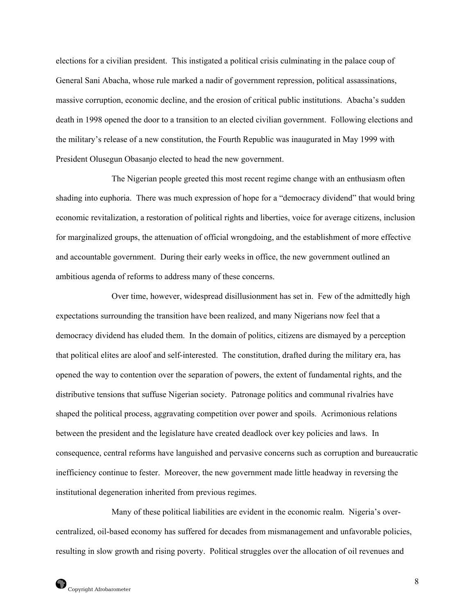elections for a civilian president. This instigated a political crisis culminating in the palace coup of General Sani Abacha, whose rule marked a nadir of government repression, political assassinations, massive corruption, economic decline, and the erosion of critical public institutions. Abacha's sudden death in 1998 opened the door to a transition to an elected civilian government. Following elections and the military's release of a new constitution, the Fourth Republic was inaugurated in May 1999 with President Olusegun Obasanjo elected to head the new government.

 The Nigerian people greeted this most recent regime change with an enthusiasm often shading into euphoria. There was much expression of hope for a "democracy dividend" that would bring economic revitalization, a restoration of political rights and liberties, voice for average citizens, inclusion for marginalized groups, the attenuation of official wrongdoing, and the establishment of more effective and accountable government. During their early weeks in office, the new government outlined an ambitious agenda of reforms to address many of these concerns.

 Over time, however, widespread disillusionment has set in. Few of the admittedly high expectations surrounding the transition have been realized, and many Nigerians now feel that a democracy dividend has eluded them. In the domain of politics, citizens are dismayed by a perception that political elites are aloof and self-interested. The constitution, drafted during the military era, has opened the way to contention over the separation of powers, the extent of fundamental rights, and the distributive tensions that suffuse Nigerian society. Patronage politics and communal rivalries have shaped the political process, aggravating competition over power and spoils. Acrimonious relations between the president and the legislature have created deadlock over key policies and laws. In consequence, central reforms have languished and pervasive concerns such as corruption and bureaucratic inefficiency continue to fester. Moreover, the new government made little headway in reversing the institutional degeneration inherited from previous regimes.

 Many of these political liabilities are evident in the economic realm. Nigeria's overcentralized, oil-based economy has suffered for decades from mismanagement and unfavorable policies, resulting in slow growth and rising poverty. Political struggles over the allocation of oil revenues and

8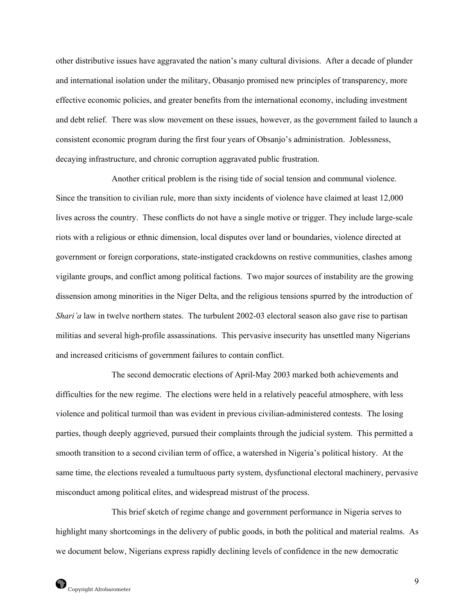other distributive issues have aggravated the nation's many cultural divisions. After a decade of plunder and international isolation under the military, Obasanjo promised new principles of transparency, more effective economic policies, and greater benefits from the international economy, including investment and debt relief. There was slow movement on these issues, however, as the government failed to launch a consistent economic program during the first four years of Obsanjo's administration. Joblessness, decaying infrastructure, and chronic corruption aggravated public frustration.

 Another critical problem is the rising tide of social tension and communal violence. Since the transition to civilian rule, more than sixty incidents of violence have claimed at least 12,000 lives across the country. These conflicts do not have a single motive or trigger. They include large-scale riots with a religious or ethnic dimension, local disputes over land or boundaries, violence directed at government or foreign corporations, state-instigated crackdowns on restive communities, clashes among vigilante groups, and conflict among political factions. Two major sources of instability are the growing dissension among minorities in the Niger Delta, and the religious tensions spurred by the introduction of *Shari'a* law in twelve northern states. The turbulent 2002-03 electoral season also gave rise to partisan militias and several high-profile assassinations. This pervasive insecurity has unsettled many Nigerians and increased criticisms of government failures to contain conflict.

 The second democratic elections of April-May 2003 marked both achievements and difficulties for the new regime. The elections were held in a relatively peaceful atmosphere, with less violence and political turmoil than was evident in previous civilian-administered contests. The losing parties, though deeply aggrieved, pursued their complaints through the judicial system. This permitted a smooth transition to a second civilian term of office, a watershed in Nigeria's political history. At the same time, the elections revealed a tumultuous party system, dysfunctional electoral machinery, pervasive misconduct among political elites, and widespread mistrust of the process.

 This brief sketch of regime change and government performance in Nigeria serves to highlight many shortcomings in the delivery of public goods, in both the political and material realms. As we document below, Nigerians express rapidly declining levels of confidence in the new democratic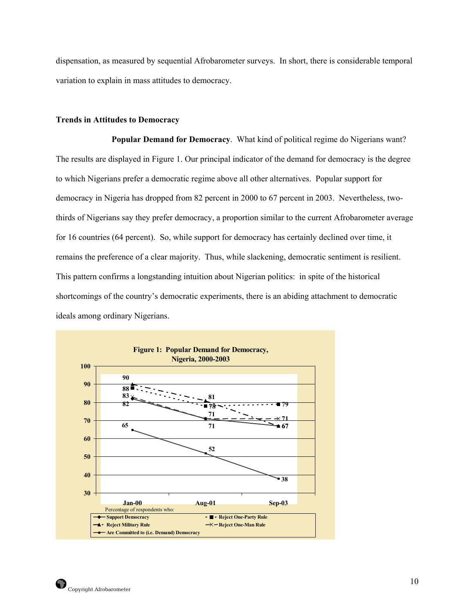dispensation, as measured by sequential Afrobarometer surveys. In short, there is considerable temporal variation to explain in mass attitudes to democracy.

# **Trends in Attitudes to Democracy**

 **Popular Demand for Democracy**.What kind of political regime do Nigerians want? The results are displayed in Figure 1. Our principal indicator of the demand for democracy is the degree to which Nigerians prefer a democratic regime above all other alternatives. Popular support for democracy in Nigeria has dropped from 82 percent in 2000 to 67 percent in 2003. Nevertheless, twothirds of Nigerians say they prefer democracy, a proportion similar to the current Afrobarometer average for 16 countries (64 percent). So, while support for democracy has certainly declined over time, it remains the preference of a clear majority. Thus, while slackening, democratic sentiment is resilient. This pattern confirms a longstanding intuition about Nigerian politics: in spite of the historical shortcomings of the country's democratic experiments, there is an abiding attachment to democratic ideals among ordinary Nigerians.

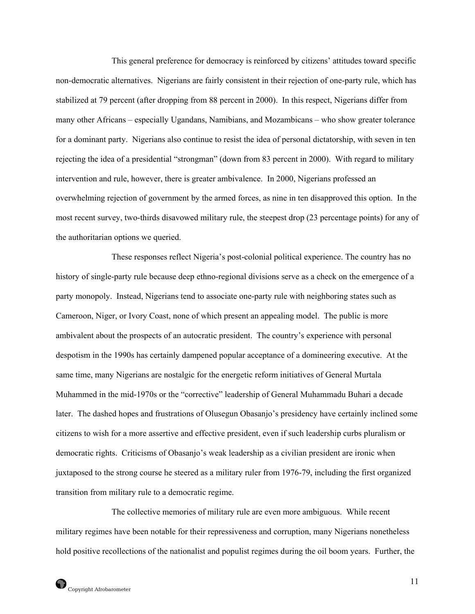This general preference for democracy is reinforced by citizens' attitudes toward specific non-democratic alternatives. Nigerians are fairly consistent in their rejection of one-party rule, which has stabilized at 79 percent (after dropping from 88 percent in 2000). In this respect, Nigerians differ from many other Africans – especially Ugandans, Namibians, and Mozambicans – who show greater tolerance for a dominant party. Nigerians also continue to resist the idea of personal dictatorship, with seven in ten rejecting the idea of a presidential "strongman" (down from 83 percent in 2000). With regard to military intervention and rule, however, there is greater ambivalence. In 2000, Nigerians professed an overwhelming rejection of government by the armed forces, as nine in ten disapproved this option. In the most recent survey, two-thirds disavowed military rule, the steepest drop (23 percentage points) for any of the authoritarian options we queried.

 These responses reflect Nigeria's post-colonial political experience. The country has no history of single-party rule because deep ethno-regional divisions serve as a check on the emergence of a party monopoly. Instead, Nigerians tend to associate one-party rule with neighboring states such as Cameroon, Niger, or Ivory Coast, none of which present an appealing model. The public is more ambivalent about the prospects of an autocratic president. The country's experience with personal despotism in the 1990s has certainly dampened popular acceptance of a domineering executive. At the same time, many Nigerians are nostalgic for the energetic reform initiatives of General Murtala Muhammed in the mid-1970s or the "corrective" leadership of General Muhammadu Buhari a decade later. The dashed hopes and frustrations of Olusegun Obasanjo's presidency have certainly inclined some citizens to wish for a more assertive and effective president, even if such leadership curbs pluralism or democratic rights. Criticisms of Obasanjo's weak leadership as a civilian president are ironic when juxtaposed to the strong course he steered as a military ruler from 1976-79, including the first organized transition from military rule to a democratic regime.

 The collective memories of military rule are even more ambiguous. While recent military regimes have been notable for their repressiveness and corruption, many Nigerians nonetheless hold positive recollections of the nationalist and populist regimes during the oil boom years. Further, the

11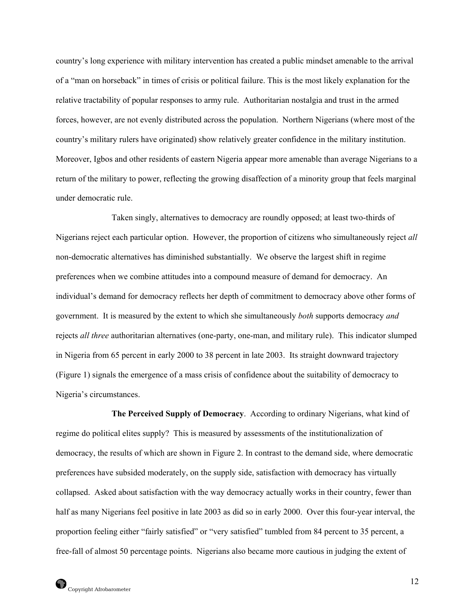country's long experience with military intervention has created a public mindset amenable to the arrival of a "man on horseback" in times of crisis or political failure. This is the most likely explanation for the relative tractability of popular responses to army rule. Authoritarian nostalgia and trust in the armed forces, however, are not evenly distributed across the population. Northern Nigerians (where most of the country's military rulers have originated) show relatively greater confidence in the military institution. Moreover, Igbos and other residents of eastern Nigeria appear more amenable than average Nigerians to a return of the military to power, reflecting the growing disaffection of a minority group that feels marginal under democratic rule.

 Taken singly, alternatives to democracy are roundly opposed; at least two-thirds of Nigerians reject each particular option. However, the proportion of citizens who simultaneously reject *all* non-democratic alternatives has diminished substantially. We observe the largest shift in regime preferences when we combine attitudes into a compound measure of demand for democracy. An individual's demand for democracy reflects her depth of commitment to democracy above other forms of government. It is measured by the extent to which she simultaneously *both* supports democracy *and* rejects *all three* authoritarian alternatives (one-party, one-man, and military rule). This indicator slumped in Nigeria from 65 percent in early 2000 to 38 percent in late 2003. Its straight downward trajectory (Figure 1) signals the emergence of a mass crisis of confidence about the suitability of democracy to Nigeria's circumstances.

 **The Perceived Supply of Democracy**. According to ordinary Nigerians, what kind of regime do political elites supply? This is measured by assessments of the institutionalization of democracy, the results of which are shown in Figure 2. In contrast to the demand side, where democratic preferences have subsided moderately, on the supply side, satisfaction with democracy has virtually collapsed. Asked about satisfaction with the way democracy actually works in their country, fewer than half as many Nigerians feel positive in late 2003 as did so in early 2000. Over this four-year interval, the proportion feeling either "fairly satisfied" or "very satisfied" tumbled from 84 percent to 35 percent, a free-fall of almost 50 percentage points. Nigerians also became more cautious in judging the extent of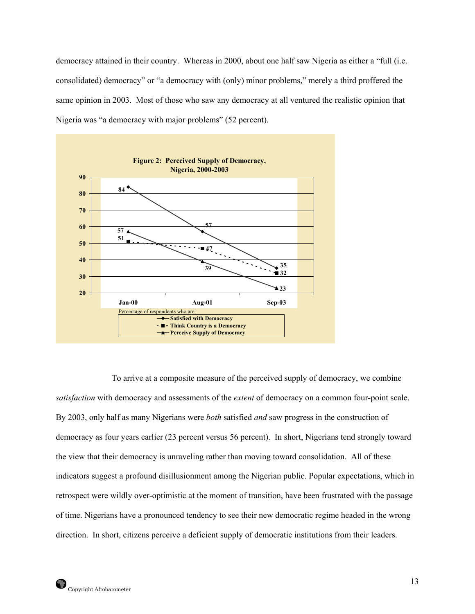democracy attained in their country. Whereas in 2000, about one half saw Nigeria as either a "full (i.e. consolidated) democracy" or "a democracy with (only) minor problems," merely a third proffered the same opinion in 2003. Most of those who saw any democracy at all ventured the realistic opinion that Nigeria was "a democracy with major problems" (52 percent).



 To arrive at a composite measure of the perceived supply of democracy, we combine *satisfaction* with democracy and assessments of the *extent* of democracy on a common four-point scale. By 2003, only half as many Nigerians were *both* satisfied *and* saw progress in the construction of democracy as four years earlier (23 percent versus 56 percent). In short, Nigerians tend strongly toward the view that their democracy is unraveling rather than moving toward consolidation. All of these indicators suggest a profound disillusionment among the Nigerian public. Popular expectations, which in retrospect were wildly over-optimistic at the moment of transition, have been frustrated with the passage of time. Nigerians have a pronounced tendency to see their new democratic regime headed in the wrong direction. In short, citizens perceive a deficient supply of democratic institutions from their leaders.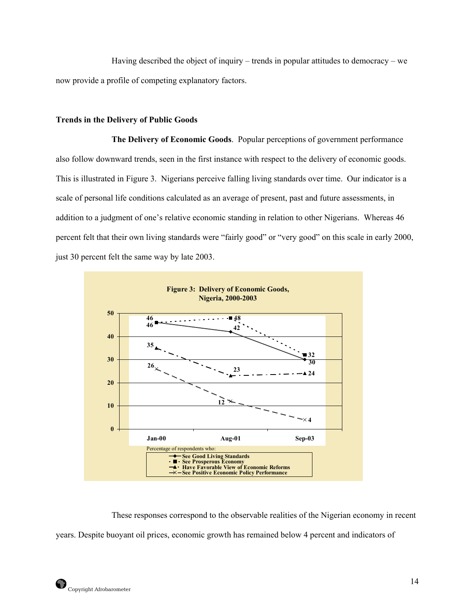Having described the object of inquiry – trends in popular attitudes to democracy – we now provide a profile of competing explanatory factors.

# **Trends in the Delivery of Public Goods**

 **The Delivery of Economic Goods**. Popular perceptions of government performance also follow downward trends, seen in the first instance with respect to the delivery of economic goods. This is illustrated in Figure 3. Nigerians perceive falling living standards over time. Our indicator is a scale of personal life conditions calculated as an average of present, past and future assessments, in addition to a judgment of one's relative economic standing in relation to other Nigerians. Whereas 46 percent felt that their own living standards were "fairly good" or "very good" on this scale in early 2000, just 30 percent felt the same way by late 2003.



 These responses correspond to the observable realities of the Nigerian economy in recent years. Despite buoyant oil prices, economic growth has remained below 4 percent and indicators of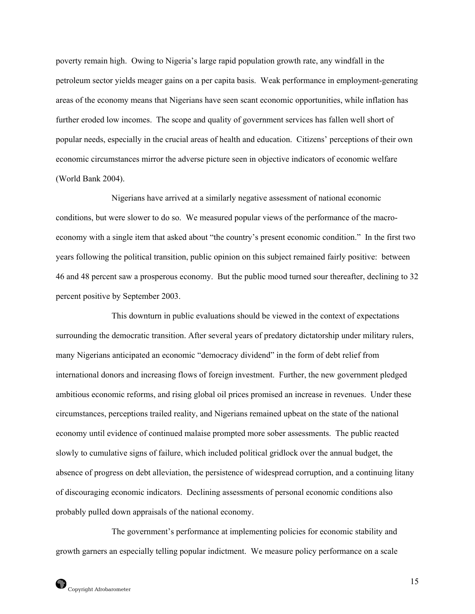poverty remain high. Owing to Nigeria's large rapid population growth rate, any windfall in the petroleum sector yields meager gains on a per capita basis. Weak performance in employment-generating areas of the economy means that Nigerians have seen scant economic opportunities, while inflation has further eroded low incomes. The scope and quality of government services has fallen well short of popular needs, especially in the crucial areas of health and education. Citizens' perceptions of their own economic circumstances mirror the adverse picture seen in objective indicators of economic welfare (World Bank 2004).

 Nigerians have arrived at a similarly negative assessment of national economic conditions, but were slower to do so. We measured popular views of the performance of the macroeconomy with a single item that asked about "the country's present economic condition." In the first two years following the political transition, public opinion on this subject remained fairly positive: between 46 and 48 percent saw a prosperous economy. But the public mood turned sour thereafter, declining to 32 percent positive by September 2003.

 This downturn in public evaluations should be viewed in the context of expectations surrounding the democratic transition. After several years of predatory dictatorship under military rulers, many Nigerians anticipated an economic "democracy dividend" in the form of debt relief from international donors and increasing flows of foreign investment. Further, the new government pledged ambitious economic reforms, and rising global oil prices promised an increase in revenues. Under these circumstances, perceptions trailed reality, and Nigerians remained upbeat on the state of the national economy until evidence of continued malaise prompted more sober assessments. The public reacted slowly to cumulative signs of failure, which included political gridlock over the annual budget, the absence of progress on debt alleviation, the persistence of widespread corruption, and a continuing litany of discouraging economic indicators. Declining assessments of personal economic conditions also probably pulled down appraisals of the national economy.

 The government's performance at implementing policies for economic stability and growth garners an especially telling popular indictment. We measure policy performance on a scale

15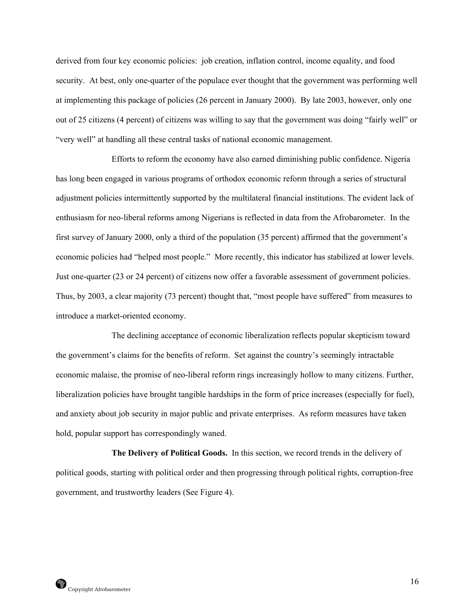derived from four key economic policies: job creation, inflation control, income equality, and food security. At best, only one-quarter of the populace ever thought that the government was performing well at implementing this package of policies (26 percent in January 2000). By late 2003, however, only one out of 25 citizens (4 percent) of citizens was willing to say that the government was doing "fairly well" or "very well" at handling all these central tasks of national economic management.

 Efforts to reform the economy have also earned diminishing public confidence. Nigeria has long been engaged in various programs of orthodox economic reform through a series of structural adjustment policies intermittently supported by the multilateral financial institutions. The evident lack of enthusiasm for neo-liberal reforms among Nigerians is reflected in data from the Afrobarometer. In the first survey of January 2000, only a third of the population (35 percent) affirmed that the government's economic policies had "helped most people." More recently, this indicator has stabilized at lower levels. Just one-quarter (23 or 24 percent) of citizens now offer a favorable assessment of government policies. Thus, by 2003, a clear majority (73 percent) thought that, "most people have suffered" from measures to introduce a market-oriented economy.

 The declining acceptance of economic liberalization reflects popular skepticism toward the government's claims for the benefits of reform. Set against the country's seemingly intractable economic malaise, the promise of neo-liberal reform rings increasingly hollow to many citizens. Further, liberalization policies have brought tangible hardships in the form of price increases (especially for fuel), and anxiety about job security in major public and private enterprises. As reform measures have taken hold, popular support has correspondingly waned.

 **The Delivery of Political Goods.** In this section, we record trends in the delivery of political goods, starting with political order and then progressing through political rights, corruption-free government, and trustworthy leaders (See Figure 4).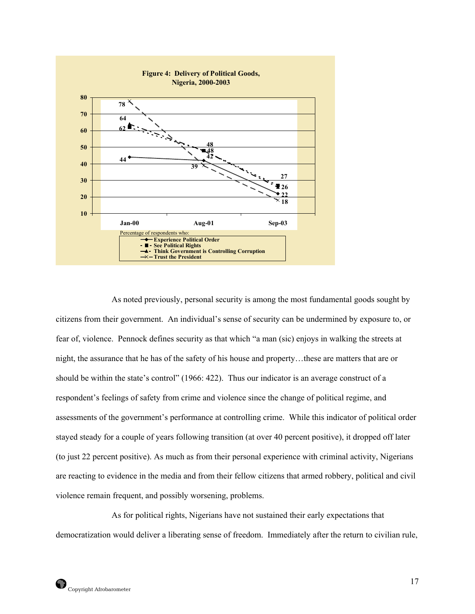

 As noted previously, personal security is among the most fundamental goods sought by citizens from their government. An individual's sense of security can be undermined by exposure to, or fear of, violence. Pennock defines security as that which "a man (sic) enjoys in walking the streets at night, the assurance that he has of the safety of his house and property…these are matters that are or should be within the state's control" (1966: 422). Thus our indicator is an average construct of a respondent's feelings of safety from crime and violence since the change of political regime, and assessments of the government's performance at controlling crime. While this indicator of political order stayed steady for a couple of years following transition (at over 40 percent positive), it dropped off later (to just 22 percent positive). As much as from their personal experience with criminal activity, Nigerians are reacting to evidence in the media and from their fellow citizens that armed robbery, political and civil violence remain frequent, and possibly worsening, problems.

 As for political rights, Nigerians have not sustained their early expectations that democratization would deliver a liberating sense of freedom. Immediately after the return to civilian rule,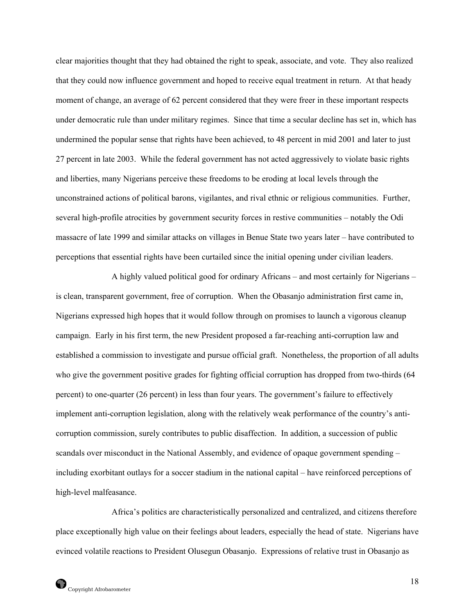clear majorities thought that they had obtained the right to speak, associate, and vote. They also realized that they could now influence government and hoped to receive equal treatment in return. At that heady moment of change, an average of 62 percent considered that they were freer in these important respects under democratic rule than under military regimes. Since that time a secular decline has set in, which has undermined the popular sense that rights have been achieved, to 48 percent in mid 2001 and later to just 27 percent in late 2003. While the federal government has not acted aggressively to violate basic rights and liberties, many Nigerians perceive these freedoms to be eroding at local levels through the unconstrained actions of political barons, vigilantes, and rival ethnic or religious communities. Further, several high-profile atrocities by government security forces in restive communities – notably the Odi massacre of late 1999 and similar attacks on villages in Benue State two years later – have contributed to perceptions that essential rights have been curtailed since the initial opening under civilian leaders.

 A highly valued political good for ordinary Africans – and most certainly for Nigerians – is clean, transparent government, free of corruption. When the Obasanjo administration first came in, Nigerians expressed high hopes that it would follow through on promises to launch a vigorous cleanup campaign. Early in his first term, the new President proposed a far-reaching anti-corruption law and established a commission to investigate and pursue official graft. Nonetheless, the proportion of all adults who give the government positive grades for fighting official corruption has dropped from two-thirds (64 percent) to one-quarter (26 percent) in less than four years. The government's failure to effectively implement anti-corruption legislation, along with the relatively weak performance of the country's anticorruption commission, surely contributes to public disaffection. In addition, a succession of public scandals over misconduct in the National Assembly, and evidence of opaque government spending – including exorbitant outlays for a soccer stadium in the national capital – have reinforced perceptions of high-level malfeasance.

 Africa's politics are characteristically personalized and centralized, and citizens therefore place exceptionally high value on their feelings about leaders, especially the head of state. Nigerians have evinced volatile reactions to President Olusegun Obasanjo. Expressions of relative trust in Obasanjo as

18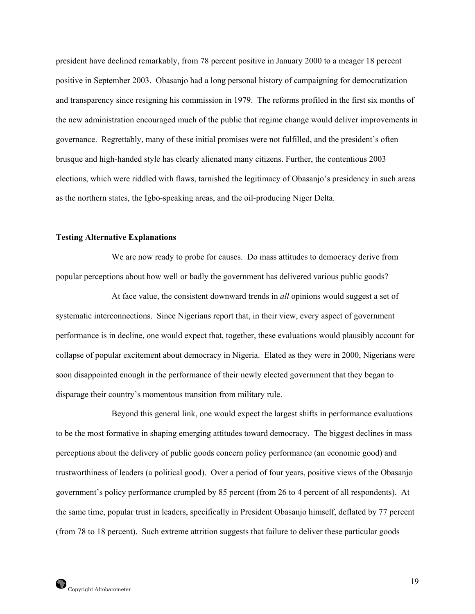president have declined remarkably, from 78 percent positive in January 2000 to a meager 18 percent positive in September 2003. Obasanjo had a long personal history of campaigning for democratization and transparency since resigning his commission in 1979. The reforms profiled in the first six months of the new administration encouraged much of the public that regime change would deliver improvements in governance. Regrettably, many of these initial promises were not fulfilled, and the president's often brusque and high-handed style has clearly alienated many citizens. Further, the contentious 2003 elections, which were riddled with flaws, tarnished the legitimacy of Obasanjo's presidency in such areas as the northern states, the Igbo-speaking areas, and the oil-producing Niger Delta.

#### **Testing Alternative Explanations**

 We are now ready to probe for causes. Do mass attitudes to democracy derive from popular perceptions about how well or badly the government has delivered various public goods?

 At face value, the consistent downward trends in *all* opinions would suggest a set of systematic interconnections. Since Nigerians report that, in their view, every aspect of government performance is in decline, one would expect that, together, these evaluations would plausibly account for collapse of popular excitement about democracy in Nigeria. Elated as they were in 2000, Nigerians were soon disappointed enough in the performance of their newly elected government that they began to disparage their country's momentous transition from military rule.

 Beyond this general link, one would expect the largest shifts in performance evaluations to be the most formative in shaping emerging attitudes toward democracy. The biggest declines in mass perceptions about the delivery of public goods concern policy performance (an economic good) and trustworthiness of leaders (a political good). Over a period of four years, positive views of the Obasanjo government's policy performance crumpled by 85 percent (from 26 to 4 percent of all respondents). At the same time, popular trust in leaders, specifically in President Obasanjo himself, deflated by 77 percent (from 78 to 18 percent). Such extreme attrition suggests that failure to deliver these particular goods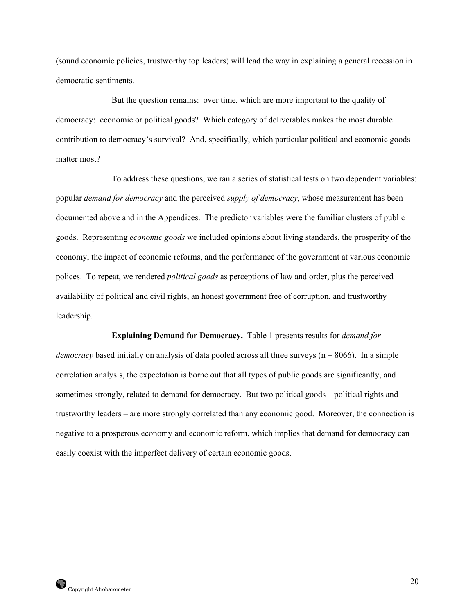(sound economic policies, trustworthy top leaders) will lead the way in explaining a general recession in democratic sentiments.

 But the question remains: over time, which are more important to the quality of democracy: economic or political goods? Which category of deliverables makes the most durable contribution to democracy's survival? And, specifically, which particular political and economic goods matter most?

 To address these questions, we ran a series of statistical tests on two dependent variables: popular *demand for democracy* and the perceived *supply of democracy*, whose measurement has been documented above and in the Appendices. The predictor variables were the familiar clusters of public goods. Representing *economic goods* we included opinions about living standards, the prosperity of the economy, the impact of economic reforms, and the performance of the government at various economic polices. To repeat, we rendered *political goods* as perceptions of law and order, plus the perceived availability of political and civil rights, an honest government free of corruption, and trustworthy leadership.

**Explaining Demand for Democracy.** Table 1 presents results for *demand for democracy* based initially on analysis of data pooled across all three surveys ( $n = 8066$ ). In a simple correlation analysis, the expectation is borne out that all types of public goods are significantly, and sometimes strongly, related to demand for democracy. But two political goods – political rights and trustworthy leaders – are more strongly correlated than any economic good. Moreover, the connection is negative to a prosperous economy and economic reform, which implies that demand for democracy can easily coexist with the imperfect delivery of certain economic goods.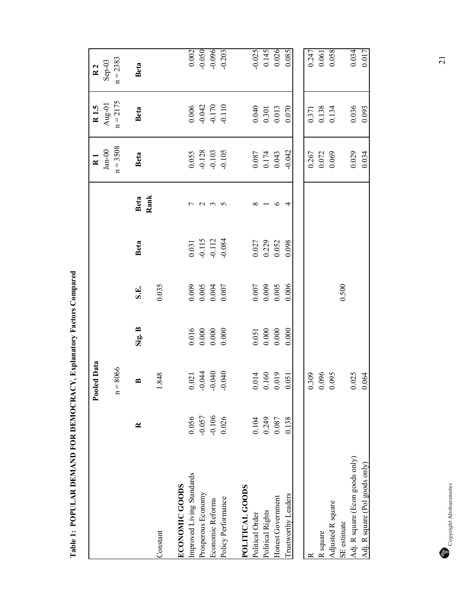|                                 |           | Pooled Data    |                                                                 |                                                                 |                                                          |            | $\overline{R}$ 1                                                   | R <sub>1.5</sub>                                       | $\overline{R}$ 2  |
|---------------------------------|-----------|----------------|-----------------------------------------------------------------|-----------------------------------------------------------------|----------------------------------------------------------|------------|--------------------------------------------------------------------|--------------------------------------------------------|-------------------|
|                                 |           |                |                                                                 |                                                                 |                                                          |            | $Jan-00$                                                           | Aug-01                                                 | $Sep-03$          |
|                                 |           | $n = 8066$     |                                                                 |                                                                 |                                                          |            | $n = 3508$                                                         | $n = 2175$                                             | $n = 2383$        |
|                                 | $\approx$ | $\approx$      | Sig. B                                                          | S.E.                                                            | Beta                                                     | Beta       | Beta                                                               | Beta                                                   | Beta              |
| Constant                        |           | 1.848          |                                                                 | 0.035                                                           |                                                          | Rank       |                                                                    |                                                        |                   |
| <b>ECONOMIC GOODS</b>           |           |                |                                                                 |                                                                 |                                                          |            |                                                                    |                                                        |                   |
| improved Living Standards       | 0.056     | 0.021          | $\begin{array}{c} 0.016 \\ 0.000 \\ 0.000 \\ 0.000 \end{array}$ | $\begin{array}{c} 0.009 \\ 0.005 \\ 0.004 \\ 0.004 \end{array}$ | $\begin{array}{c} 0.031 \\ -0.115 \\ -0.112 \end{array}$ |            | $\begin{array}{c} 0.055 \\ -0.128 \\ -0.103 \\ -0.105 \end{array}$ | $0.006$<br>$-0.042$<br>$-0.170$<br>$-0.110$            | 0.002             |
| Prosperous Economy              | $-0.057$  | $-0.044$       |                                                                 |                                                                 |                                                          | $\sim$     |                                                                    |                                                        | $-0.050$          |
| Economic Reforms                | $-0.106$  | $-0.040$       |                                                                 |                                                                 |                                                          | $\epsilon$ |                                                                    |                                                        | $-0.096$          |
| Policy Performance              | 0.026     | $-0.040$       |                                                                 |                                                                 | $-0.084$                                                 |            |                                                                    |                                                        | $-0.203$          |
| POLITICAL GOODS                 |           |                |                                                                 |                                                                 |                                                          |            |                                                                    |                                                        |                   |
| Political Order                 | 0.104     |                | 0.051                                                           |                                                                 |                                                          |            |                                                                    |                                                        |                   |
| Political Rights                | 0.249     | 0.014<br>0.160 | 0.000                                                           | $0.007$<br>0.009                                                | 0.027<br>0.229<br>0.052                                  |            | $\begin{array}{c} 0.087 \\ 0.174 \\ 0.043 \end{array}$             | $\begin{array}{c} 0.040 \\ 0.301 \\ 0.013 \end{array}$ | $-0.025$<br>0.145 |
| Honest Government               | 0.087     | 0.019          | 0.000                                                           | 0.005                                                           |                                                          | ৩          |                                                                    |                                                        | 0.026             |
| Trustworthy Leaders             | 0.138     | 0.051          | 0.000                                                           | 0.006                                                           | 0.098                                                    |            | $-0.042$                                                           | 0.070                                                  | 0.085             |
|                                 |           |                |                                                                 |                                                                 |                                                          |            |                                                                    |                                                        |                   |
|                                 |           | 0.309          |                                                                 |                                                                 |                                                          |            |                                                                    |                                                        | 0.247             |
| R square                        |           | 0.096          |                                                                 |                                                                 |                                                          |            | 0.267<br>0.072<br>0.069                                            | 0.371<br>0.138<br>0.134                                | 0.061             |
| Adjusted R square               |           | 0.095          |                                                                 |                                                                 |                                                          |            |                                                                    |                                                        | 0.058             |
| SE estimate                     |           |                |                                                                 | 0.500                                                           |                                                          |            |                                                                    |                                                        |                   |
| Adj. R square (Econ goods only) |           | 0.025          |                                                                 |                                                                 |                                                          |            | 0.029                                                              | 0.036                                                  | 0.034             |
| Adj. R square (Pol goods only)  |           | 0.064          |                                                                 |                                                                 |                                                          |            | 0.034                                                              | 0.093                                                  | 0.017             |

Table 1: POPULAR DEMAND FOR DEMOCRACY, Explanatory Factors Compared **Table 1: POPULAR DEMAND FOR DEMOCRACY, Explanatory Factors Compared** 

 $\begin{tabular}{c} \multicolumn{2}{c}{\textbf{Copyright Afootometer}}\\ \end{tabular}$ Copyright Afrobarometer

21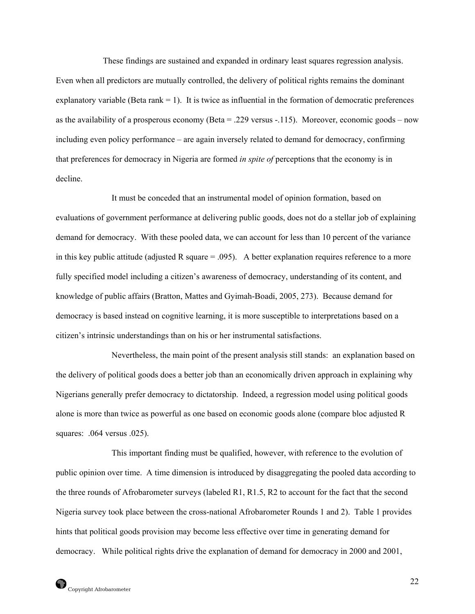These findings are sustained and expanded in ordinary least squares regression analysis. Even when all predictors are mutually controlled, the delivery of political rights remains the dominant explanatory variable (Beta rank  $= 1$ ). It is twice as influential in the formation of democratic preferences as the availability of a prosperous economy (Beta = .229 versus -.115). Moreover, economic goods – now including even policy performance – are again inversely related to demand for democracy, confirming that preferences for democracy in Nigeria are formed *in spite of* perceptions that the economy is in decline.

 It must be conceded that an instrumental model of opinion formation, based on evaluations of government performance at delivering public goods, does not do a stellar job of explaining demand for democracy. With these pooled data, we can account for less than 10 percent of the variance in this key public attitude (adjusted R square  $= .095$ ). A better explanation requires reference to a more fully specified model including a citizen's awareness of democracy, understanding of its content, and knowledge of public affairs (Bratton, Mattes and Gyimah-Boadi, 2005, 273). Because demand for democracy is based instead on cognitive learning, it is more susceptible to interpretations based on a citizen's intrinsic understandings than on his or her instrumental satisfactions.

 Nevertheless, the main point of the present analysis still stands: an explanation based on the delivery of political goods does a better job than an economically driven approach in explaining why Nigerians generally prefer democracy to dictatorship. Indeed, a regression model using political goods alone is more than twice as powerful as one based on economic goods alone (compare bloc adjusted R squares: .064 versus .025).

This important finding must be qualified, however, with reference to the evolution of public opinion over time. A time dimension is introduced by disaggregating the pooled data according to the three rounds of Afrobarometer surveys (labeled R1, R1.5, R2 to account for the fact that the second Nigeria survey took place between the cross-national Afrobarometer Rounds 1 and 2). Table 1 provides hints that political goods provision may become less effective over time in generating demand for democracy. While political rights drive the explanation of demand for democracy in 2000 and 2001,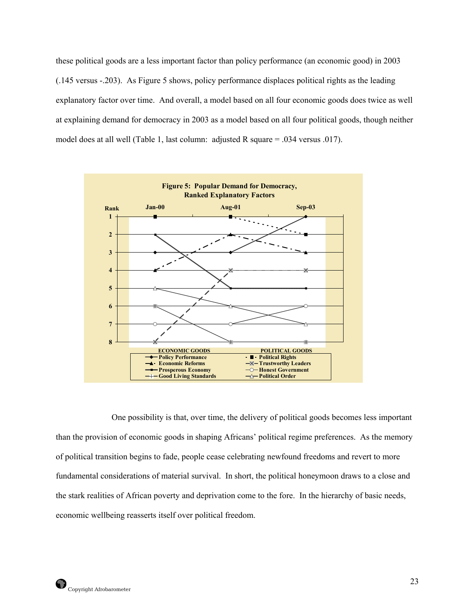these political goods are a less important factor than policy performance (an economic good) in 2003 (.145 versus -.203). As Figure 5 shows, policy performance displaces political rights as the leading explanatory factor over time. And overall, a model based on all four economic goods does twice as well at explaining demand for democracy in 2003 as a model based on all four political goods, though neither model does at all well (Table 1, last column: adjusted R square = .034 versus .017).



 One possibility is that, over time, the delivery of political goods becomes less important than the provision of economic goods in shaping Africans' political regime preferences. As the memory of political transition begins to fade, people cease celebrating newfound freedoms and revert to more fundamental considerations of material survival. In short, the political honeymoon draws to a close and the stark realities of African poverty and deprivation come to the fore. In the hierarchy of basic needs, economic wellbeing reasserts itself over political freedom.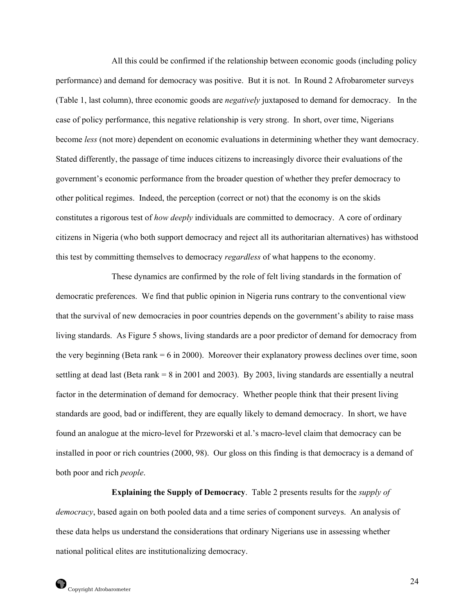All this could be confirmed if the relationship between economic goods (including policy performance) and demand for democracy was positive. But it is not. In Round 2 Afrobarometer surveys (Table 1, last column), three economic goods are *negatively* juxtaposed to demand for democracy. In the case of policy performance, this negative relationship is very strong. In short, over time, Nigerians become *less* (not more) dependent on economic evaluations in determining whether they want democracy. Stated differently, the passage of time induces citizens to increasingly divorce their evaluations of the government's economic performance from the broader question of whether they prefer democracy to other political regimes. Indeed, the perception (correct or not) that the economy is on the skids constitutes a rigorous test of *how deeply* individuals are committed to democracy. A core of ordinary citizens in Nigeria (who both support democracy and reject all its authoritarian alternatives) has withstood this test by committing themselves to democracy *regardless* of what happens to the economy.

These dynamics are confirmed by the role of felt living standards in the formation of democratic preferences. We find that public opinion in Nigeria runs contrary to the conventional view that the survival of new democracies in poor countries depends on the government's ability to raise mass living standards. As Figure 5 shows, living standards are a poor predictor of demand for democracy from the very beginning (Beta rank  $= 6$  in 2000). Moreover their explanatory prowess declines over time, soon settling at dead last (Beta rank = 8 in 2001 and 2003). By 2003, living standards are essentially a neutral factor in the determination of demand for democracy. Whether people think that their present living standards are good, bad or indifferent, they are equally likely to demand democracy. In short, we have found an analogue at the micro-level for Przeworski et al.'s macro-level claim that democracy can be installed in poor or rich countries (2000, 98). Our gloss on this finding is that democracy is a demand of both poor and rich *people*.

**Explaining the Supply of Democracy**. Table 2 presents results for the *supply of democracy*, based again on both pooled data and a time series of component surveys. An analysis of these data helps us understand the considerations that ordinary Nigerians use in assessing whether national political elites are institutionalizing democracy.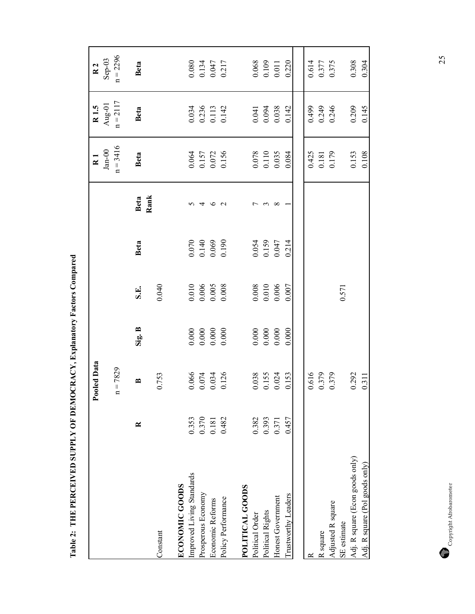|                                  |                       | Pooled Data                                                      |                                                        |                                                                 |                                  |                 | $\overline{R}$ 1                                                | R <sub>1.5</sub>                                       | $\overline{R}$ 2                                                |  |
|----------------------------------|-----------------------|------------------------------------------------------------------|--------------------------------------------------------|-----------------------------------------------------------------|----------------------------------|-----------------|-----------------------------------------------------------------|--------------------------------------------------------|-----------------------------------------------------------------|--|
|                                  |                       | $= 7829$                                                         |                                                        |                                                                 |                                  |                 | $Jan-00$<br>$n = 3416$                                          | Aug-01<br>$n = 2117$                                   | $n = 2296$<br>$Sep-03$                                          |  |
|                                  | $\approx$             | ≃                                                                | Sig. B                                                 | S.E.                                                            | <b>Beta</b>                      | Beta            | Beta                                                            | Beta                                                   | <b>Beta</b>                                                     |  |
| Constant                         |                       | 0.753                                                            |                                                        | 0.040                                                           |                                  | Rank            |                                                                 |                                                        |                                                                 |  |
| <b>ECONOMIC GOODS</b>            |                       |                                                                  |                                                        |                                                                 |                                  |                 |                                                                 |                                                        |                                                                 |  |
| Improved Living Standards        | 0.353                 |                                                                  |                                                        |                                                                 |                                  |                 |                                                                 |                                                        |                                                                 |  |
| Prosperous Economy               |                       |                                                                  |                                                        |                                                                 |                                  | 4               |                                                                 |                                                        |                                                                 |  |
| Economic Reforms                 | $\frac{0.370}{0.181}$ | $\begin{array}{c} 0.066 \\ 0.074 \\ 0.034 \\ 0.0126 \end{array}$ |                                                        | $\begin{array}{c} 0.010 \\ 0.006 \\ 0.005 \\ 0.008 \end{array}$ | 0.070<br>0.140<br>0.069<br>0.190 | $\circ$ $\circ$ |                                                                 |                                                        |                                                                 |  |
| Policy Performance               | 0.482                 |                                                                  | $0.000$<br>$0.000$<br>$0.000$                          |                                                                 |                                  |                 | $\begin{array}{c} 0.064 \\ 0.157 \\ 0.072 \\ 0.156 \end{array}$ | 0.034<br>0.236<br>0.113<br>0.142                       | 0.080<br>0.134<br>0.047<br>0.217                                |  |
|                                  |                       |                                                                  |                                                        |                                                                 |                                  |                 |                                                                 |                                                        |                                                                 |  |
| POLITICAL GOODS                  |                       |                                                                  |                                                        |                                                                 |                                  |                 |                                                                 |                                                        |                                                                 |  |
| Political Order                  | 0.382                 | $\begin{array}{c} 0.038 \\ 0.155 \\ 0.024 \end{array}$           |                                                        |                                                                 |                                  |                 | 0.078<br>0.110<br>0.035                                         |                                                        |                                                                 |  |
| Political Rights                 | 0.393                 |                                                                  |                                                        |                                                                 |                                  |                 |                                                                 |                                                        |                                                                 |  |
| Honest Government                | 0.371                 |                                                                  | $\begin{array}{c} 0.000 \\ 0.000 \\ 0.000 \end{array}$ | $\begin{array}{c} 0.008 \\ 0.010 \\ 0.006 \end{array}$          | 0.054<br>0.159<br>0.047          |                 |                                                                 | $\begin{array}{c} 0.041 \\ 0.094 \\ 0.038 \end{array}$ |                                                                 |  |
| Trustworthy Leaders              | 0.457                 | 0.153                                                            | 0.000                                                  | 0.007                                                           | 0.214                            |                 | 0.084                                                           | 0.142                                                  | $\begin{array}{c} 0.068 \\ 0.109 \\ 0.011 \\ 0.220 \end{array}$ |  |
|                                  |                       |                                                                  |                                                        |                                                                 |                                  |                 |                                                                 |                                                        |                                                                 |  |
|                                  |                       | 0.616                                                            |                                                        |                                                                 |                                  |                 |                                                                 | 0.499                                                  |                                                                 |  |
| R square                         |                       | 0.379                                                            |                                                        |                                                                 |                                  |                 |                                                                 |                                                        |                                                                 |  |
| Adjusted R square                |                       | 0.379                                                            |                                                        |                                                                 |                                  |                 | 0.425<br>0.181<br>0.179                                         | 0.249<br>0.246                                         | 0.614<br>0.377<br>0.375                                         |  |
| SE estimate                      |                       |                                                                  |                                                        | 0.571                                                           |                                  |                 |                                                                 |                                                        |                                                                 |  |
| Adj. R square (Econ goods only)  |                       | 0.292                                                            |                                                        |                                                                 |                                  |                 | 0.153                                                           | 0.209                                                  | $0.308$<br>0.304                                                |  |
| Adj. R square $(Pol$ goods only) |                       | 0.311                                                            |                                                        |                                                                 |                                  |                 | 0.108                                                           | 0.145                                                  |                                                                 |  |

Table 2: THE PERCEIVED SUPPLY OF DEMOCRACY, Explanatory Factors Compared **Table 2: THE PERCEIVED SUPPLY OF DEMOCRACY, Explanatory Factors Compared**

 $\begin{tabular}{c} \multicolumn{2}{c}{\textbf{Copyright Afobarometer}}\\ \end{tabular}$ Copyright Afrobarometer

25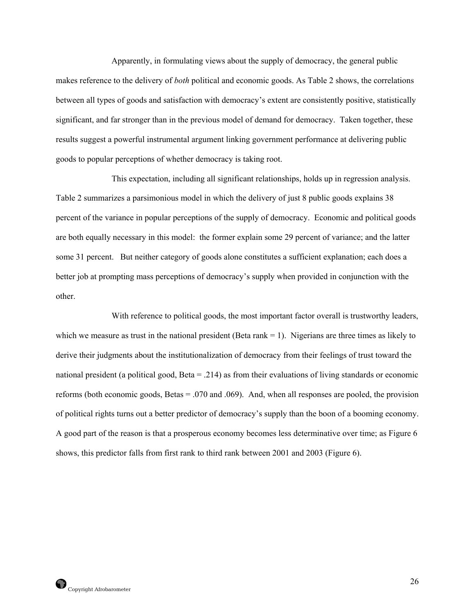Apparently, in formulating views about the supply of democracy, the general public makes reference to the delivery of *both* political and economic goods. As Table 2 shows, the correlations between all types of goods and satisfaction with democracy's extent are consistently positive, statistically significant, and far stronger than in the previous model of demand for democracy. Taken together, these results suggest a powerful instrumental argument linking government performance at delivering public goods to popular perceptions of whether democracy is taking root.

 This expectation, including all significant relationships, holds up in regression analysis. Table 2 summarizes a parsimonious model in which the delivery of just 8 public goods explains 38 percent of the variance in popular perceptions of the supply of democracy. Economic and political goods are both equally necessary in this model: the former explain some 29 percent of variance; and the latter some 31 percent. But neither category of goods alone constitutes a sufficient explanation; each does a better job at prompting mass perceptions of democracy's supply when provided in conjunction with the other.

With reference to political goods, the most important factor overall is trustworthy leaders, which we measure as trust in the national president (Beta rank  $= 1$ ). Nigerians are three times as likely to derive their judgments about the institutionalization of democracy from their feelings of trust toward the national president (a political good, Beta = .214) as from their evaluations of living standards or economic reforms (both economic goods, Betas = .070 and .069). And, when all responses are pooled, the provision of political rights turns out a better predictor of democracy's supply than the boon of a booming economy. A good part of the reason is that a prosperous economy becomes less determinative over time; as Figure 6 shows, this predictor falls from first rank to third rank between 2001 and 2003 (Figure 6).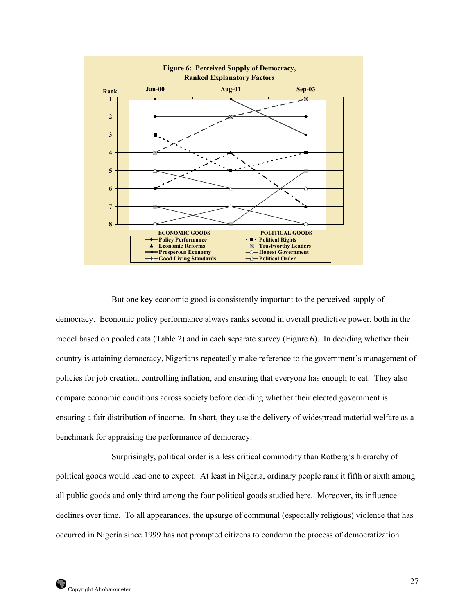

 But one key economic good is consistently important to the perceived supply of democracy. Economic policy performance always ranks second in overall predictive power, both in the model based on pooled data (Table 2) and in each separate survey (Figure 6). In deciding whether their country is attaining democracy, Nigerians repeatedly make reference to the government's management of policies for job creation, controlling inflation, and ensuring that everyone has enough to eat. They also compare economic conditions across society before deciding whether their elected government is ensuring a fair distribution of income. In short, they use the delivery of widespread material welfare as a benchmark for appraising the performance of democracy.

 Surprisingly, political order is a less critical commodity than Rotberg's hierarchy of political goods would lead one to expect. At least in Nigeria, ordinary people rank it fifth or sixth among all public goods and only third among the four political goods studied here. Moreover, its influence declines over time. To all appearances, the upsurge of communal (especially religious) violence that has occurred in Nigeria since 1999 has not prompted citizens to condemn the process of democratization.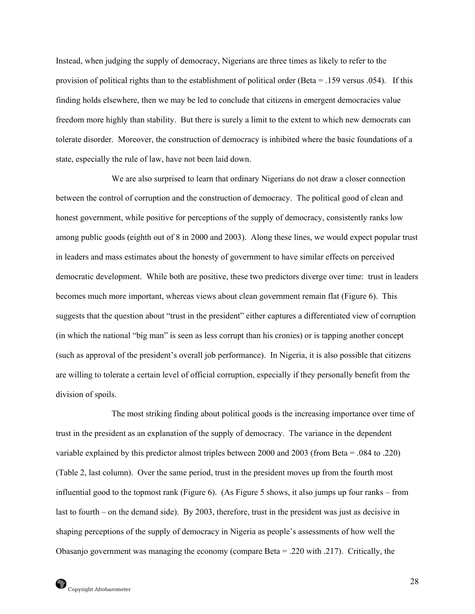Instead, when judging the supply of democracy, Nigerians are three times as likely to refer to the provision of political rights than to the establishment of political order (Beta = .159 versus .054). If this finding holds elsewhere, then we may be led to conclude that citizens in emergent democracies value freedom more highly than stability. But there is surely a limit to the extent to which new democrats can tolerate disorder. Moreover, the construction of democracy is inhibited where the basic foundations of a state, especially the rule of law, have not been laid down.

 We are also surprised to learn that ordinary Nigerians do not draw a closer connection between the control of corruption and the construction of democracy. The political good of clean and honest government, while positive for perceptions of the supply of democracy, consistently ranks low among public goods (eighth out of 8 in 2000 and 2003). Along these lines, we would expect popular trust in leaders and mass estimates about the honesty of government to have similar effects on perceived democratic development. While both are positive, these two predictors diverge over time: trust in leaders becomes much more important, whereas views about clean government remain flat (Figure 6). This suggests that the question about "trust in the president" either captures a differentiated view of corruption (in which the national "big man" is seen as less corrupt than his cronies) or is tapping another concept (such as approval of the president's overall job performance). In Nigeria, it is also possible that citizens are willing to tolerate a certain level of official corruption, especially if they personally benefit from the division of spoils.

 The most striking finding about political goods is the increasing importance over time of trust in the president as an explanation of the supply of democracy. The variance in the dependent variable explained by this predictor almost triples between 2000 and 2003 (from Beta = .084 to .220) (Table 2, last column). Over the same period, trust in the president moves up from the fourth most influential good to the topmost rank (Figure 6). (As Figure 5 shows, it also jumps up four ranks – from last to fourth – on the demand side). By 2003, therefore, trust in the president was just as decisive in shaping perceptions of the supply of democracy in Nigeria as people's assessments of how well the Obasanjo government was managing the economy (compare Beta = .220 with .217). Critically, the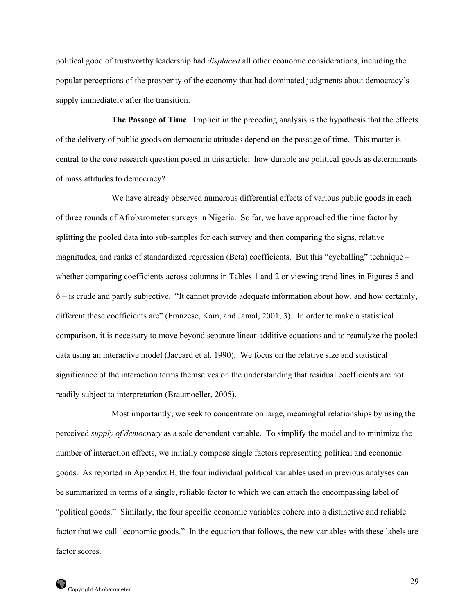political good of trustworthy leadership had *displaced* all other economic considerations, including the popular perceptions of the prosperity of the economy that had dominated judgments about democracy's supply immediately after the transition.

**The Passage of Time**. Implicit in the preceding analysis is the hypothesis that the effects of the delivery of public goods on democratic attitudes depend on the passage of time. This matter is central to the core research question posed in this article: how durable are political goods as determinants of mass attitudes to democracy?

We have already observed numerous differential effects of various public goods in each of three rounds of Afrobarometer surveys in Nigeria. So far, we have approached the time factor by splitting the pooled data into sub-samples for each survey and then comparing the signs, relative magnitudes, and ranks of standardized regression (Beta) coefficients. But this "eyeballing" technique – whether comparing coefficients across columns in Tables 1 and 2 or viewing trend lines in Figures 5 and 6 – is crude and partly subjective. "It cannot provide adequate information about how, and how certainly, different these coefficients are" (Franzese, Kam, and Jamal, 2001, 3). In order to make a statistical comparison, it is necessary to move beyond separate linear-additive equations and to reanalyze the pooled data using an interactive model (Jaccard et al. 1990). We focus on the relative size and statistical significance of the interaction terms themselves on the understanding that residual coefficients are not readily subject to interpretation (Braumoeller, 2005).

 Most importantly, we seek to concentrate on large, meaningful relationships by using the perceived *supply of democracy* as a sole dependent variable. To simplify the model and to minimize the number of interaction effects, we initially compose single factors representing political and economic goods. As reported in Appendix B, the four individual political variables used in previous analyses can be summarized in terms of a single, reliable factor to which we can attach the encompassing label of "political goods." Similarly, the four specific economic variables cohere into a distinctive and reliable factor that we call "economic goods." In the equation that follows, the new variables with these labels are factor scores.

29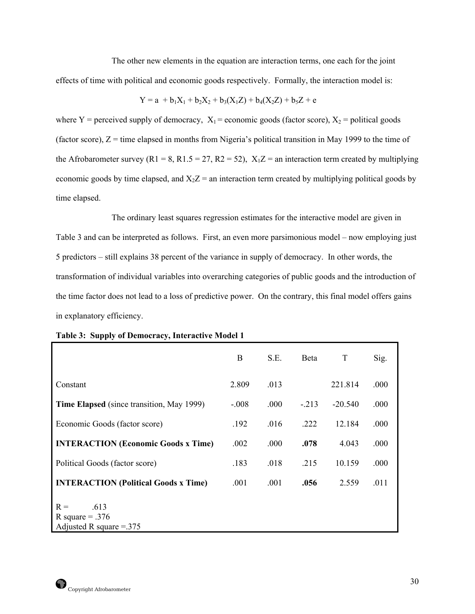The other new elements in the equation are interaction terms, one each for the joint effects of time with political and economic goods respectively. Formally, the interaction model is:

$$
Y = a + b_1 X_1 + b_2 X_2 + b_3(X_1 Z) + b_4(X_2 Z) + b_5 Z + e
$$

where Y = perceived supply of democracy,  $X_1$  = economic goods (factor score),  $X_2$  = political goods (factor score),  $Z =$  time elapsed in months from Nigeria's political transition in May 1999 to the time of the Afrobarometer survey (R1 = 8, R1.5 = 27, R2 = 52),  $X_1Z$  = an interaction term created by multiplying economic goods by time elapsed, and  $X_2Z =$  an interaction term created by multiplying political goods by time elapsed.

The ordinary least squares regression estimates for the interactive model are given in Table 3 and can be interpreted as follows. First, an even more parsimonious model – now employing just 5 predictors – still explains 38 percent of the variance in supply of democracy. In other words, the transformation of individual variables into overarching categories of public goods and the introduction of the time factor does not lead to a loss of predictive power. On the contrary, this final model offers gains in explanatory efficiency.

|                                                                 | B       | S.E. | Beta    | T         | Sig. |
|-----------------------------------------------------------------|---------|------|---------|-----------|------|
| Constant                                                        | 2.809   | .013 |         | 221.814   | .000 |
| Time Elapsed (since transition, May 1999)                       | $-.008$ | .000 | $-.213$ | $-20.540$ | .000 |
| Economic Goods (factor score)                                   | .192    | .016 | .222    | 12.184    | .000 |
| <b>INTERACTION (Economic Goods x Time)</b>                      | .002    | .000 | .078    | 4.043     | .000 |
| Political Goods (factor score)                                  | .183    | .018 | .215    | 10.159    | .000 |
| <b>INTERACTION</b> (Political Goods x Time)                     | .001    | .001 | .056    | 2.559     | .011 |
| .613<br>$R =$<br>R square = $.376$<br>Adjusted R square $=$ 375 |         |      |         |           |      |

|  |  |  | Table 3: Supply of Democracy, Interactive Model 1 |  |  |
|--|--|--|---------------------------------------------------|--|--|
|--|--|--|---------------------------------------------------|--|--|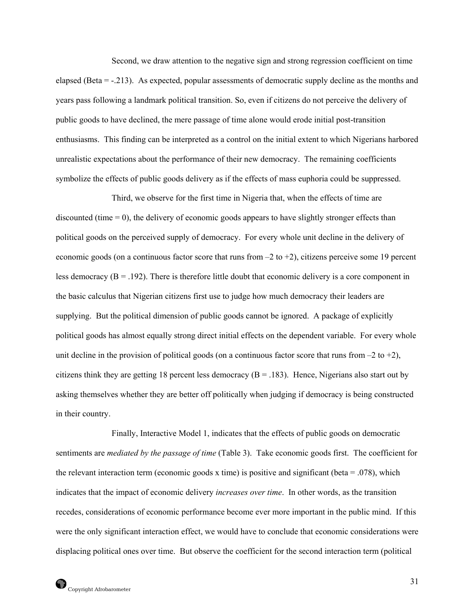Second, we draw attention to the negative sign and strong regression coefficient on time elapsed (Beta = -.213). As expected, popular assessments of democratic supply decline as the months and years pass following a landmark political transition. So, even if citizens do not perceive the delivery of public goods to have declined, the mere passage of time alone would erode initial post-transition enthusiasms. This finding can be interpreted as a control on the initial extent to which Nigerians harbored unrealistic expectations about the performance of their new democracy. The remaining coefficients symbolize the effects of public goods delivery as if the effects of mass euphoria could be suppressed.

 Third, we observe for the first time in Nigeria that, when the effects of time are discounted (time  $= 0$ ), the delivery of economic goods appears to have slightly stronger effects than political goods on the perceived supply of democracy. For every whole unit decline in the delivery of economic goods (on a continuous factor score that runs from  $-2$  to  $+2$ ), citizens perceive some 19 percent less democracy ( $B = .192$ ). There is therefore little doubt that economic delivery is a core component in the basic calculus that Nigerian citizens first use to judge how much democracy their leaders are supplying. But the political dimension of public goods cannot be ignored. A package of explicitly political goods has almost equally strong direct initial effects on the dependent variable. For every whole unit decline in the provision of political goods (on a continuous factor score that runs from  $-2$  to  $+2$ ), citizens think they are getting 18 percent less democracy ( $B = .183$ ). Hence, Nigerians also start out by asking themselves whether they are better off politically when judging if democracy is being constructed in their country.

 Finally, Interactive Model 1, indicates that the effects of public goods on democratic sentiments are *mediated by the passage of time* (Table 3). Take economic goods first. The coefficient for the relevant interaction term (economic goods x time) is positive and significant (beta  $= .078$ ), which indicates that the impact of economic delivery *increases over time*. In other words, as the transition recedes, considerations of economic performance become ever more important in the public mind. If this were the only significant interaction effect, we would have to conclude that economic considerations were displacing political ones over time. But observe the coefficient for the second interaction term (political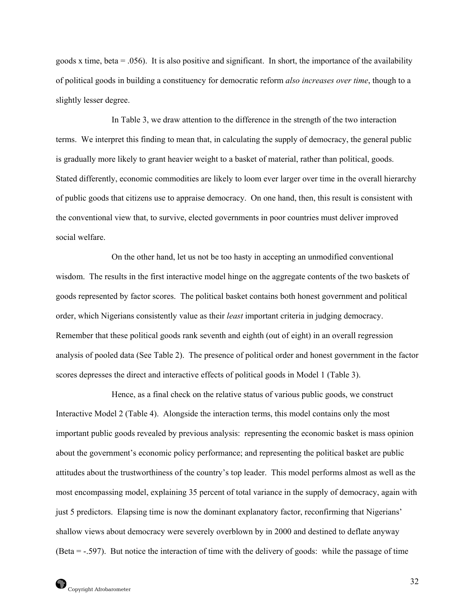goods x time, beta =  $.056$ ). It is also positive and significant. In short, the importance of the availability of political goods in building a constituency for democratic reform *also increases over time*, though to a slightly lesser degree.

In Table 3, we draw attention to the difference in the strength of the two interaction terms. We interpret this finding to mean that, in calculating the supply of democracy, the general public is gradually more likely to grant heavier weight to a basket of material, rather than political, goods. Stated differently, economic commodities are likely to loom ever larger over time in the overall hierarchy of public goods that citizens use to appraise democracy. On one hand, then, this result is consistent with the conventional view that, to survive, elected governments in poor countries must deliver improved social welfare.

 On the other hand, let us not be too hasty in accepting an unmodified conventional wisdom. The results in the first interactive model hinge on the aggregate contents of the two baskets of goods represented by factor scores. The political basket contains both honest government and political order, which Nigerians consistently value as their *least* important criteria in judging democracy. Remember that these political goods rank seventh and eighth (out of eight) in an overall regression analysis of pooled data (See Table 2). The presence of political order and honest government in the factor scores depresses the direct and interactive effects of political goods in Model 1 (Table 3).

Hence, as a final check on the relative status of various public goods, we construct Interactive Model 2 (Table 4). Alongside the interaction terms, this model contains only the most important public goods revealed by previous analysis: representing the economic basket is mass opinion about the government's economic policy performance; and representing the political basket are public attitudes about the trustworthiness of the country's top leader. This model performs almost as well as the most encompassing model, explaining 35 percent of total variance in the supply of democracy, again with just 5 predictors. Elapsing time is now the dominant explanatory factor, reconfirming that Nigerians' shallow views about democracy were severely overblown by in 2000 and destined to deflate anyway (Beta = -.597). But notice the interaction of time with the delivery of goods: while the passage of time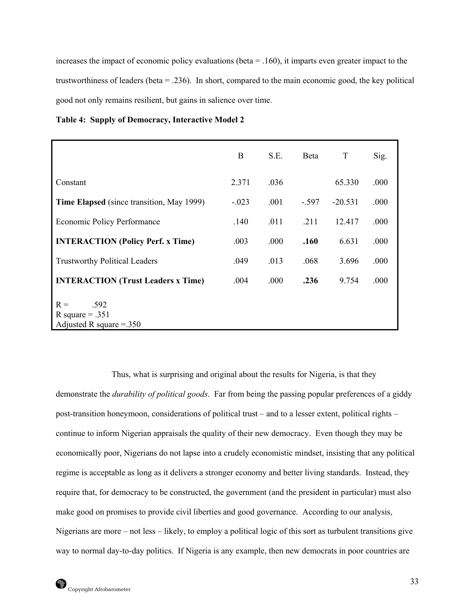increases the impact of economic policy evaluations (beta = .160), it imparts even greater impact to the trustworthiness of leaders (beta = .236). In short, compared to the main economic good, the key political good not only remains resilient, but gains in salience over time.

|  |  | <b>Table 4: Supply of Democracy, Interactive Model 2</b> |
|--|--|----------------------------------------------------------|
|--|--|----------------------------------------------------------|

|                                                                | B       | S.E.  | <b>B</b> eta | T         | Sig. |
|----------------------------------------------------------------|---------|-------|--------------|-----------|------|
| Constant                                                       | 2.371   | .036  |              | 65.330    | .000 |
| <b>Time Elapsed</b> (since transition, May 1999)               | $-.023$ | .001  | $-.597$      | $-20.531$ | .000 |
| Economic Policy Performance                                    | .140    | .011  | .211         | 12.417    | .000 |
| <b>INTERACTION (Policy Perf. x Time)</b>                       | .003    | .000  | .160         | 6.631     | .000 |
| <b>Trustworthy Political Leaders</b>                           | .049    | .013  | .068         | 3.696     | .000 |
| <b>INTERACTION</b> (Trust Leaders x Time)                      | .004    | .000. | .236         | 9.754     | .000 |
| .592<br>$R =$<br>R square $= .351$<br>Adjusted R square $=350$ |         |       |              |           |      |

 Thus, what is surprising and original about the results for Nigeria, is that they demonstrate the *durability of political goods*. Far from being the passing popular preferences of a giddy post-transition honeymoon, considerations of political trust – and to a lesser extent, political rights – continue to inform Nigerian appraisals the quality of their new democracy. Even though they may be economically poor, Nigerians do not lapse into a crudely economistic mindset, insisting that any political regime is acceptable as long as it delivers a stronger economy and better living standards. Instead, they require that, for democracy to be constructed, the government (and the president in particular) must also make good on promises to provide civil liberties and good governance. According to our analysis, Nigerians are more – not less – likely, to employ a political logic of this sort as turbulent transitions give way to normal day-to-day politics. If Nigeria is any example, then new democrats in poor countries are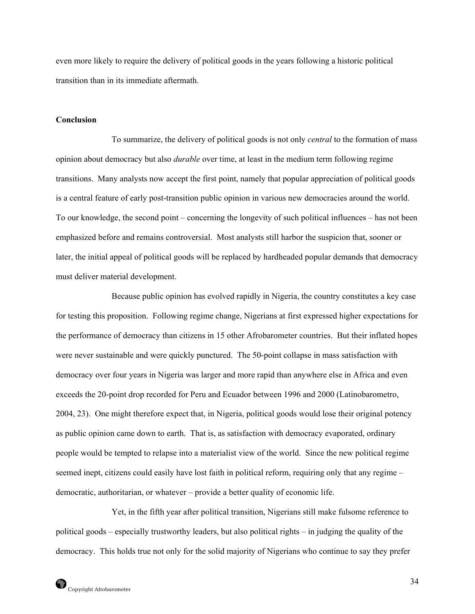even more likely to require the delivery of political goods in the years following a historic political transition than in its immediate aftermath.

# **Conclusion**

 To summarize, the delivery of political goods is not only *central* to the formation of mass opinion about democracy but also *durable* over time, at least in the medium term following regime transitions. Many analysts now accept the first point, namely that popular appreciation of political goods is a central feature of early post-transition public opinion in various new democracies around the world. To our knowledge, the second point – concerning the longevity of such political influences – has not been emphasized before and remains controversial. Most analysts still harbor the suspicion that, sooner or later, the initial appeal of political goods will be replaced by hardheaded popular demands that democracy must deliver material development.

Because public opinion has evolved rapidly in Nigeria, the country constitutes a key case for testing this proposition. Following regime change, Nigerians at first expressed higher expectations for the performance of democracy than citizens in 15 other Afrobarometer countries. But their inflated hopes were never sustainable and were quickly punctured. The 50-point collapse in mass satisfaction with democracy over four years in Nigeria was larger and more rapid than anywhere else in Africa and even exceeds the 20-point drop recorded for Peru and Ecuador between 1996 and 2000 (Latinobarometro, 2004, 23). One might therefore expect that, in Nigeria, political goods would lose their original potency as public opinion came down to earth. That is, as satisfaction with democracy evaporated, ordinary people would be tempted to relapse into a materialist view of the world. Since the new political regime seemed inept, citizens could easily have lost faith in political reform, requiring only that any regime – democratic, authoritarian, or whatever – provide a better quality of economic life.

 Yet, in the fifth year after political transition, Nigerians still make fulsome reference to political goods – especially trustworthy leaders, but also political rights – in judging the quality of the democracy. This holds true not only for the solid majority of Nigerians who continue to say they prefer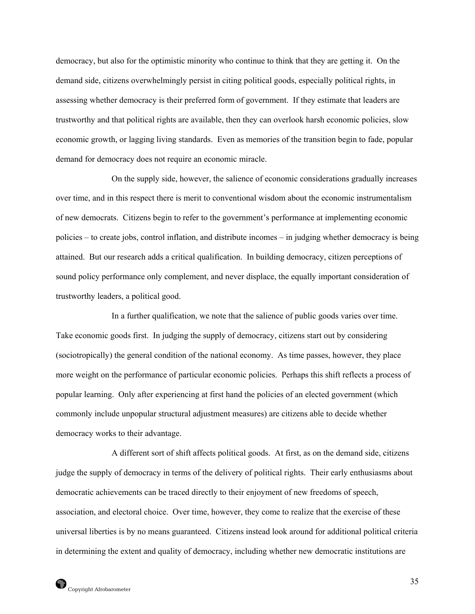democracy, but also for the optimistic minority who continue to think that they are getting it. On the demand side, citizens overwhelmingly persist in citing political goods, especially political rights, in assessing whether democracy is their preferred form of government. If they estimate that leaders are trustworthy and that political rights are available, then they can overlook harsh economic policies, slow economic growth, or lagging living standards. Even as memories of the transition begin to fade, popular demand for democracy does not require an economic miracle.

 On the supply side, however, the salience of economic considerations gradually increases over time, and in this respect there is merit to conventional wisdom about the economic instrumentalism of new democrats. Citizens begin to refer to the government's performance at implementing economic policies – to create jobs, control inflation, and distribute incomes – in judging whether democracy is being attained. But our research adds a critical qualification. In building democracy, citizen perceptions of sound policy performance only complement, and never displace, the equally important consideration of trustworthy leaders, a political good.

In a further qualification, we note that the salience of public goods varies over time. Take economic goods first. In judging the supply of democracy, citizens start out by considering (sociotropically) the general condition of the national economy. As time passes, however, they place more weight on the performance of particular economic policies. Perhaps this shift reflects a process of popular learning. Only after experiencing at first hand the policies of an elected government (which commonly include unpopular structural adjustment measures) are citizens able to decide whether democracy works to their advantage.

 A different sort of shift affects political goods. At first, as on the demand side, citizens judge the supply of democracy in terms of the delivery of political rights. Their early enthusiasms about democratic achievements can be traced directly to their enjoyment of new freedoms of speech, association, and electoral choice. Over time, however, they come to realize that the exercise of these universal liberties is by no means guaranteed. Citizens instead look around for additional political criteria in determining the extent and quality of democracy, including whether new democratic institutions are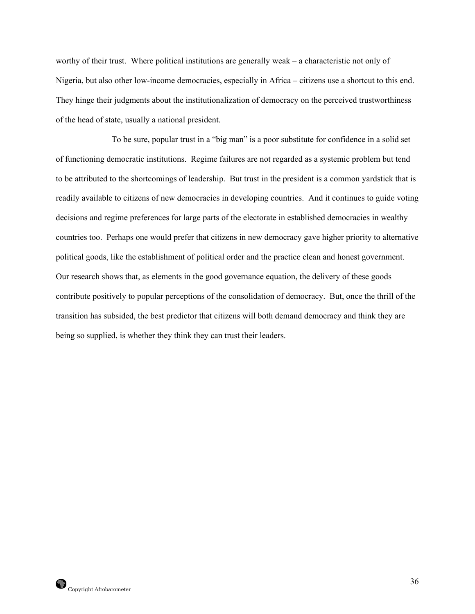worthy of their trust. Where political institutions are generally weak – a characteristic not only of Nigeria, but also other low-income democracies, especially in Africa – citizens use a shortcut to this end. They hinge their judgments about the institutionalization of democracy on the perceived trustworthiness of the head of state, usually a national president.

 To be sure, popular trust in a "big man" is a poor substitute for confidence in a solid set of functioning democratic institutions. Regime failures are not regarded as a systemic problem but tend to be attributed to the shortcomings of leadership. But trust in the president is a common yardstick that is readily available to citizens of new democracies in developing countries. And it continues to guide voting decisions and regime preferences for large parts of the electorate in established democracies in wealthy countries too. Perhaps one would prefer that citizens in new democracy gave higher priority to alternative political goods, like the establishment of political order and the practice clean and honest government. Our research shows that, as elements in the good governance equation, the delivery of these goods contribute positively to popular perceptions of the consolidation of democracy. But, once the thrill of the transition has subsided, the best predictor that citizens will both demand democracy and think they are being so supplied, is whether they think they can trust their leaders.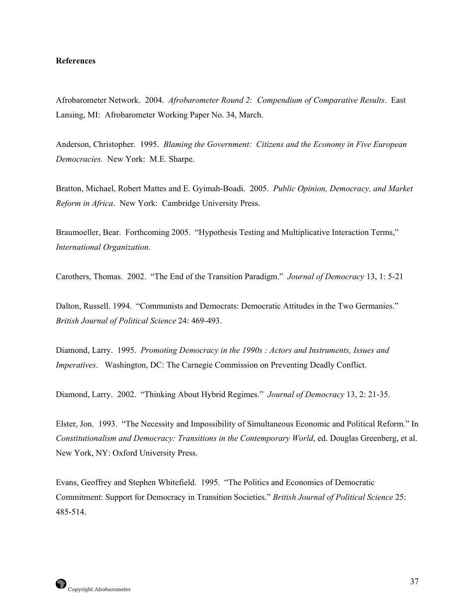#### **References**

Afrobarometer Network. 2004. *Afrobarometer Round 2: Compendium of Comparative Results*. East Lansing, MI: Afrobarometer Working Paper No. 34, March.

Anderson, Christopher. 1995. *Blaming the Government: Citizens and the Economy in Five European Democracies*. New York: M.E. Sharpe.

Bratton, Michael, Robert Mattes and E. Gyimah-Boadi. 2005. *Public Opinion, Democracy, and Market Reform in Africa*. New York: Cambridge University Press.

Braumoeller, Bear. Forthcoming 2005. "Hypothesis Testing and Multiplicative Interaction Terms," *International Organization*.

Carothers, Thomas. 2002. "The End of the Transition Paradigm." *Journal of Democracy* 13, 1: 5-21

Dalton, Russell. 1994. "Communists and Democrats: Democratic Attitudes in the Two Germanies." *British Journal of Political Science* 24: 469-493.

Diamond, Larry. 1995. *Promoting Democracy in the 1990s : Actors and Instruments, Issues and Imperatives*. Washington, DC: The Carnegie Commission on Preventing Deadly Conflict.

Diamond, Larry. 2002. "Thinking About Hybrid Regimes." *Journal of Democracy* 13, 2: 21-35.

Elster, Jon. 1993. "The Necessity and Impossibility of Simultaneous Economic and Political Reform." In *Constitutionalism and Democracy: Transitions in the Contemporary World*, ed. Douglas Greenberg, et al. New York, NY: Oxford University Press.

Evans, Geoffrey and Stephen Whitefield. 1995. "The Politics and Economics of Democratic Commitment: Support for Democracy in Transition Societies." *British Journal of Political Science* 25: 485-514.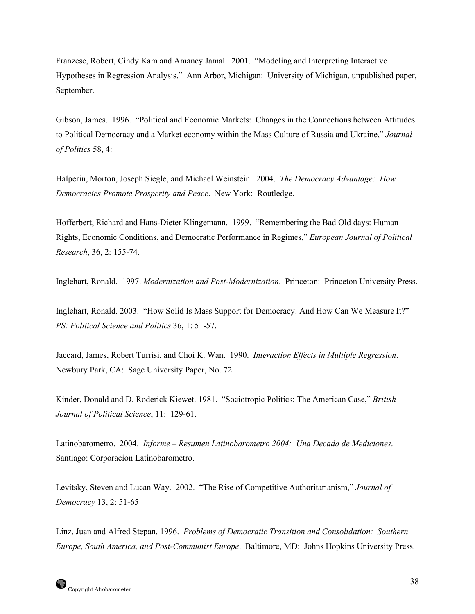Franzese, Robert, Cindy Kam and Amaney Jamal. 2001. "Modeling and Interpreting Interactive Hypotheses in Regression Analysis." Ann Arbor, Michigan: University of Michigan, unpublished paper, September.

Gibson, James. 1996. "Political and Economic Markets: Changes in the Connections between Attitudes to Political Democracy and a Market economy within the Mass Culture of Russia and Ukraine," *Journal of Politics* 58, 4:

Halperin, Morton, Joseph Siegle, and Michael Weinstein. 2004. *The Democracy Advantage: How Democracies Promote Prosperity and Peace*. New York: Routledge.

Hofferbert, Richard and Hans-Dieter Klingemann. 1999. "Remembering the Bad Old days: Human Rights, Economic Conditions, and Democratic Performance in Regimes," *European Journal of Political Research*, 36, 2: 155-74.

Inglehart, Ronald. 1997. *Modernization and Post-Modernization*. Princeton: Princeton University Press.

Inglehart, Ronald. 2003. "How Solid Is Mass Support for Democracy: And How Can We Measure It?" *PS: Political Science and Politics* 36, 1: 51-57.

Jaccard, James, Robert Turrisi, and Choi K. Wan. 1990. *Interaction Effects in Multiple Regression*. Newbury Park, CA: Sage University Paper, No. 72.

Kinder, Donald and D. Roderick Kiewet. 1981. "Sociotropic Politics: The American Case," *British Journal of Political Science*, 11: 129-61.

Latinobarometro. 2004. *Informe – Resumen Latinobarometro 2004: Una Decada de Mediciones*. Santiago: Corporacion Latinobarometro.

Levitsky, Steven and Lucan Way. 2002. "The Rise of Competitive Authoritarianism," *Journal of Democracy* 13, 2: 51-65

Linz, Juan and Alfred Stepan. 1996. *Problems of Democratic Transition and Consolidation: Southern Europe, South America, and Post-Communist Europe*. Baltimore, MD: Johns Hopkins University Press.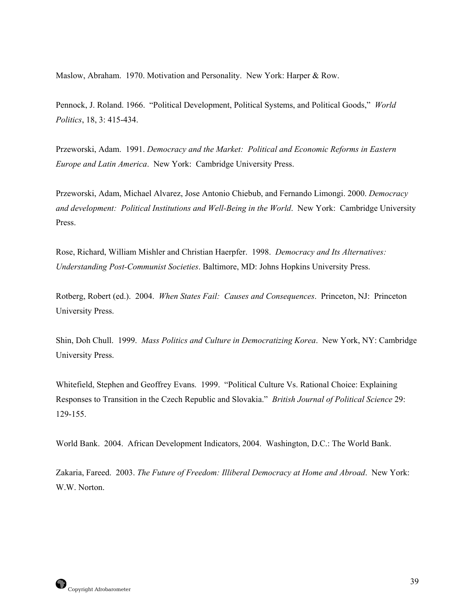Maslow, Abraham. 1970. Motivation and Personality. New York: Harper & Row.

Pennock, J. Roland. 1966. "Political Development, Political Systems, and Political Goods," *World Politics*, 18, 3: 415-434.

Przeworski, Adam. 1991. *Democracy and the Market: Political and Economic Reforms in Eastern Europe and Latin America*. New York: Cambridge University Press.

Przeworski, Adam, Michael Alvarez, Jose Antonio Chiebub, and Fernando Limongi. 2000. *Democracy and development: Political Institutions and Well-Being in the World*. New York: Cambridge University Press.

Rose, Richard, William Mishler and Christian Haerpfer. 1998. *Democracy and Its Alternatives: Understanding Post-Communist Societies*. Baltimore, MD: Johns Hopkins University Press.

Rotberg, Robert (ed.). 2004. *When States Fail: Causes and Consequences*. Princeton, NJ: Princeton University Press.

Shin, Doh Chull. 1999. *Mass Politics and Culture in Democratizing Korea*. New York, NY: Cambridge University Press.

Whitefield, Stephen and Geoffrey Evans. 1999. "Political Culture Vs. Rational Choice: Explaining Responses to Transition in the Czech Republic and Slovakia." *British Journal of Political Science* 29: 129-155.

World Bank. 2004. African Development Indicators, 2004. Washington, D.C.: The World Bank.

Zakaria, Fareed. 2003. *The Future of Freedom: Illiberal Democracy at Home and Abroad*. New York: W.W. Norton.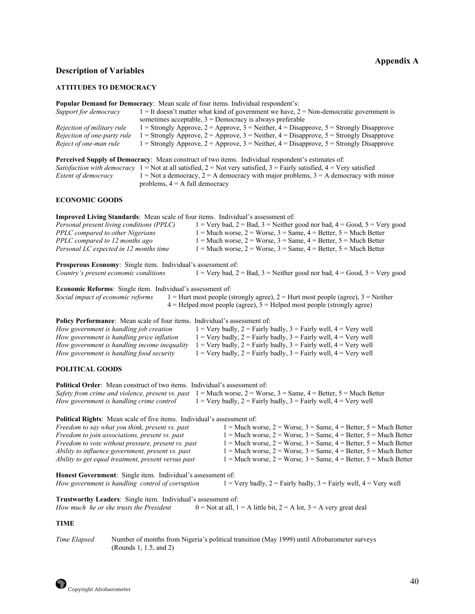# **Appendix A**

## **Description of Variables**

#### **ATTITUDES TO DEMOCRACY**

|                             | <b>Popular Demand for Democracy:</b> Mean scale of four items. Individual respondent's:                                               |
|-----------------------------|---------------------------------------------------------------------------------------------------------------------------------------|
| Support for democracy       | $1 =$ It doesn't matter what kind of government we have, $2 =$ Non-democratic government is                                           |
|                             | sometimes acceptable, $3 =$ Democracy is always preferable                                                                            |
| Rejection of military rule  | 1 = Strongly Approve, 2 = Approve, 3 = Neither, 4 = Disapprove, 5 = Strongly Disapprove                                               |
| Rejection of one-party rule | 1 = Strongly Approve, 2 = Approve, 3 = Neither, 4 = Disapprove, 5 = Strongly Disapprove                                               |
| Reject of one-man rule      | 1 = Strongly Approve, 2 = Approve, 3 = Neither, 4 = Disapprove, $5 =$ Strongly Disapprove                                             |
|                             | <b>Perceived Supply of Democracy</b> : Mean construct of two items. Individual respondent's estimates of:                             |
|                             | <i>Satisfaction with democracy</i> $1 =$ Not at all satisfied, $2 =$ Not very satisfied, $3 =$ Fairly satisfied, $4 =$ Very satisfied |
| Extent of democracy         | $1 =$ Not a democracy, $2 =$ A democracy with major problems, $3 =$ A democracy with minor                                            |
|                             | problems, $4 = A$ full democracy                                                                                                      |
| <b>ECONOMIC GOODS</b>       |                                                                                                                                       |

**Improved Living Standards**: Mean scale of four items. Individual's assessment of: *Personal present living conditions (PPLC)* 1 = Very bad, 2 = Bad, 3 = Neither good nor bad, 4 = Good, 5 = Very good *PPLC compared to other Nigerians* 1 = Much worse, 2 = Worse, 3 = Same, 4 = Better, 5 = Much Better *PPLC compared to other Nigerians*  $1 = \text{Much worse}, 2 = \text{Worse}, 3 = \text{Same}, 4 = \text{Better}, 5 = \text{Much Better}$ <br>*PPLC compared to 12 months ago*  $1 = \text{Much worse}, 2 = \text{Worse}, 3 = \text{Same}, 4 = \text{Better}, 5 = \text{Much Better}$ *PPLC compared to 12 months ago*  $1 = \text{Much worse}, 2 = \text{Worse}, 3 = \text{Same}, 4 = \text{Better}, 5 = \text{Much Better}$ <br>*Personal LC expected in 12 months time*  $1 = \text{Much worse}, 2 = \text{Worse}, 3 = \text{Same}, 4 = \text{Better}, 5 = \text{Much Better}$  $P = Much worse, 2 = Worse, 3 = Same, 4 = Better, 5 = Much Better$ 

**Prosperous Economy**: Single item. Individual's assessment of: *Country's present economic conditions* 1 = Very bad, 2 = Bad, 3 = Neither good nor bad, 4 = Good, 5 = Very good

**Economic Reforms**: Single item. Individual's assessment of:

*Social impact of economic reforms* 1 = Hurt most people (strongly agree), 2 = Hurt most people (agree), 3 = Neither  $4 =$  Helped most people (agree),  $5 =$  Helped most people (strongly agree)

| <b>Policy Performance:</b> Mean scale of four items. Individual's assessment of: |                                                                          |
|----------------------------------------------------------------------------------|--------------------------------------------------------------------------|
| How government is handling job creation                                          | $1 =$ Very badly, $2 =$ Fairly badly, $3 =$ Fairly well, $4 =$ Very well |
| How government is handling price inflation                                       | $1 =$ Very badly, $2 =$ Fairly badly, $3 =$ Fairly well, $4 =$ Very well |
| How government is handling income inequality                                     | $1 =$ Very badly, $2 =$ Fairly badly, $3 =$ Fairly well, $4 =$ Very well |
| How government is handling food security                                         | $1 =$ Very badly, $2 =$ Fairly badly, $3 =$ Fairly well, $4 =$ Very well |

#### **POLITICAL GOODS**

**Political Order**: Mean construct of two items. Individual's assessment of: *Safety from crime and violence, present vs. past* 1 = Much worse, 2 = Worse, 3 = Same, 4 = Better, 5 = Much Better *How government is handling crime control*  $1 = \text{Very badly}, 2 = \text{Fairly badly}, 3 = \text{Fairly well}, 4 = \text{Very well}$ 

**Political Rights**: Mean scale of five items. Individual's assessment of:

| Freedom to say what you think, present vs. past     | $1 =$ Much worse, $2 =$ Worse, $3 =$ Same, $4 =$ Better, $5 =$ Much Better |
|-----------------------------------------------------|----------------------------------------------------------------------------|
| Freedom to join associations, present vs. past      | $1 =$ Much worse, $2 =$ Worse, $3 =$ Same, $4 =$ Better, $5 =$ Much Better |
| Freedom to vote without pressure, present vs. past  | $1 =$ Much worse, $2 =$ Worse, $3 =$ Same, $4 =$ Better, $5 =$ Much Better |
| Ability to influence government, present vs. past   | $1 =$ Much worse, $2 =$ Worse, $3 =$ Same, $4 =$ Better, $5 =$ Much Better |
| Ability to get equal treatment, present versus past | $1 =$ Much worse, $2 =$ Worse, $3 =$ Same, $4 =$ Better, $5 =$ Much Better |
|                                                     |                                                                            |

**Honest Government**: Single item. Individual's assessment of: *How government is handling control of corruption*  $1 = \text{Very badly}, 2 = \text{Fairly badly}, 3 = \text{Fairly well}, 4 = \text{Very well}$ 

**Trustworthy Leaders**: Single item. Individual's assessment of: *How much he or she trusts the President*  $0 = Not at all, 1 = A$  little bit,  $2 = A$  lot,  $3 = A$  very great deal

#### **TIME**

*Time Elapsed* Number of months from Nigeria's political transition (May 1999) until Afrobarometer surveys (Rounds 1, 1.5, and 2)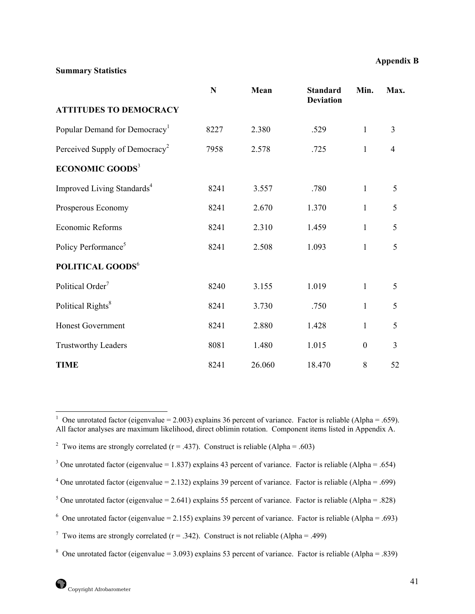# **Summary Statistics**

|                                            | N    | Mean   | <b>Standard</b><br><b>Deviation</b> | Min.             | Max.           |
|--------------------------------------------|------|--------|-------------------------------------|------------------|----------------|
| <b>ATTITUDES TO DEMOCRACY</b>              |      |        |                                     |                  |                |
| Popular Demand for Democracy <sup>1</sup>  | 8227 | 2.380  | .529                                | $\mathbf{1}$     | $\overline{3}$ |
| Perceived Supply of Democracy <sup>2</sup> | 7958 | 2.578  | .725                                | 1                | $\overline{4}$ |
| <b>ECONOMIC GOODS</b> <sup>3</sup>         |      |        |                                     |                  |                |
| Improved Living Standards <sup>4</sup>     | 8241 | 3.557  | .780                                | $\mathbf{1}$     | 5              |
| Prosperous Economy                         | 8241 | 2.670  | 1.370                               | $\mathbf{1}$     | 5              |
| Economic Reforms                           | 8241 | 2.310  | 1.459                               | $\mathbf{1}$     | 5              |
| Policy Performance <sup>5</sup>            | 8241 | 2.508  | 1.093                               | 1                | 5              |
| POLITICAL GOODS <sup>6</sup>               |      |        |                                     |                  |                |
| Political Order <sup>7</sup>               | 8240 | 3.155  | 1.019                               | $\mathbf{1}$     | 5              |
| Political Rights <sup>8</sup>              | 8241 | 3.730  | .750                                | $\mathbf{1}$     | 5              |
| <b>Honest Government</b>                   | 8241 | 2.880  | 1.428                               | 1                | 5              |
| <b>Trustworthy Leaders</b>                 | 8081 | 1.480  | 1.015                               | $\boldsymbol{0}$ | $\overline{3}$ |
| <b>TIME</b>                                | 8241 | 26.060 | 18.470                              | $\,8\,$          | 52             |

<span id="page-47-0"></span> $\frac{1}{1}$ <sup>1</sup> One unrotated factor (eigenvalue = 2.003) explains 36 percent of variance. Factor is reliable (Alpha = .659). All factor analyses are maximum likelihood, direct oblimin rotation. Component items listed in Appendix A.

<span id="page-47-1"></span><sup>&</sup>lt;sup>2</sup> Two items are strongly correlated ( $r = .437$ ). Construct is reliable (Alpha = .603)

<span id="page-47-2"></span><sup>&</sup>lt;sup>3</sup> One unrotated factor (eigenvalue = 1.837) explains 43 percent of variance. Factor is reliable (Alpha = .654)

<span id="page-47-3"></span><sup>&</sup>lt;sup>4</sup> One unrotated factor (eigenvalue = 2.132) explains 39 percent of variance. Factor is reliable (Alpha = .699)

<span id="page-47-4"></span><sup>&</sup>lt;sup>5</sup> One unrotated factor (eigenvalue = 2.641) explains 55 percent of variance. Factor is reliable (Alpha = .828)

<span id="page-47-5"></span><sup>&</sup>lt;sup>6</sup> One unrotated factor (eigenvalue = 2.155) explains 39 percent of variance. Factor is reliable (Alpha = .693)

<span id="page-47-6"></span><sup>&</sup>lt;sup>7</sup> Two items are strongly correlated (r = .342). Construct is not reliable (Alpha = .499)

<span id="page-47-7"></span><sup>&</sup>lt;sup>8</sup> One unrotated factor (eigenvalue = 3.093) explains 53 percent of variance. Factor is reliable (Alpha = .839)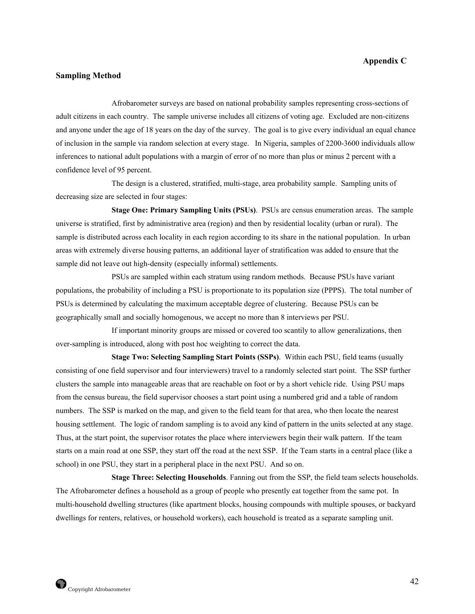#### **Appendix C**

## **Sampling Method**

 Afrobarometer surveys are based on national probability samples representing cross-sections of adult citizens in each country. The sample universe includes all citizens of voting age. Excluded are non-citizens and anyone under the age of 18 years on the day of the survey. The goal is to give every individual an equal chance of inclusion in the sample via random selection at every stage. In Nigeria, samples of 2200-3600 individuals allow inferences to national adult populations with a margin of error of no more than plus or minus 2 percent with a confidence level of 95 percent.

 The design is a clustered, stratified, multi-stage, area probability sample. Sampling units of decreasing size are selected in four stages:

 **Stage One: Primary Sampling Units (PSUs)**. PSUs are census enumeration areas. The sample universe is stratified, first by administrative area (region) and then by residential locality (urban or rural). The sample is distributed across each locality in each region according to its share in the national population. In urban areas with extremely diverse housing patterns, an additional layer of stratification was added to ensure that the sample did not leave out high-density (especially informal) settlements.

 PSUs are sampled within each stratum using random methods. Because PSUs have variant populations, the probability of including a PSU is proportionate to its population size (PPPS). The total number of PSUs is determined by calculating the maximum acceptable degree of clustering. Because PSUs can be geographically small and socially homogenous, we accept no more than 8 interviews per PSU.

 If important minority groups are missed or covered too scantily to allow generalizations, then over-sampling is introduced, along with post hoc weighting to correct the data.

 **Stage Two: Selecting Sampling Start Points (SSPs)**. Within each PSU, field teams (usually consisting of one field supervisor and four interviewers) travel to a randomly selected start point. The SSP further clusters the sample into manageable areas that are reachable on foot or by a short vehicle ride. Using PSU maps from the census bureau, the field supervisor chooses a start point using a numbered grid and a table of random numbers. The SSP is marked on the map, and given to the field team for that area, who then locate the nearest housing settlement. The logic of random sampling is to avoid any kind of pattern in the units selected at any stage. Thus, at the start point, the supervisor rotates the place where interviewers begin their walk pattern. If the team starts on a main road at one SSP, they start off the road at the next SSP. If the Team starts in a central place (like a school) in one PSU, they start in a peripheral place in the next PSU. And so on.

 **Stage Three: Selecting Households**. Fanning out from the SSP, the field team selects households. The Afrobarometer defines a household as a group of people who presently eat together from the same pot. In multi-household dwelling structures (like apartment blocks, housing compounds with multiple spouses, or backyard dwellings for renters, relatives, or household workers), each household is treated as a separate sampling unit.